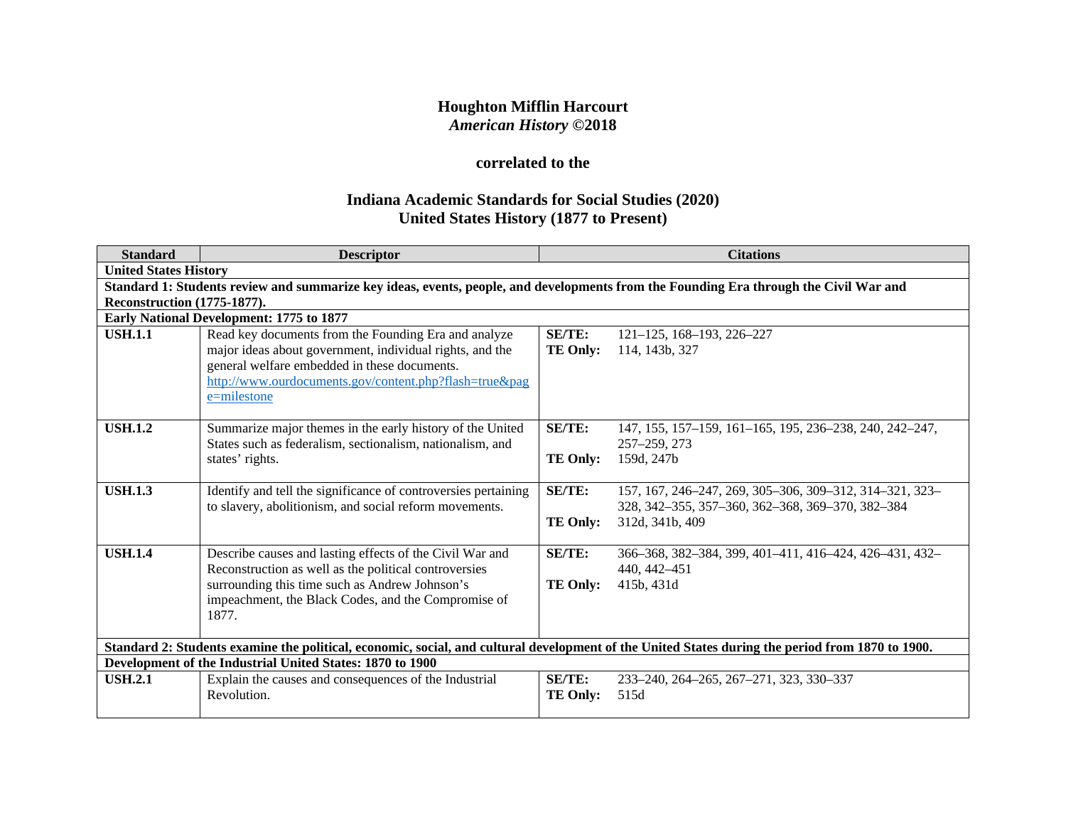# **Houghton Mifflin Harcourt** *American History* **©2018**

# **correlated to the**

# **Indiana Academic Standards for Social Studies (2020) United States History (1877 to Present)**

| <b>Standard</b>                    | <b>Descriptor</b>                                                                                                                                                                                             |                 | <b>Citations</b>                                                    |  |
|------------------------------------|---------------------------------------------------------------------------------------------------------------------------------------------------------------------------------------------------------------|-----------------|---------------------------------------------------------------------|--|
|                                    | <b>United States History</b>                                                                                                                                                                                  |                 |                                                                     |  |
|                                    | Standard 1: Students review and summarize key ideas, events, people, and developments from the Founding Era through the Civil War and                                                                         |                 |                                                                     |  |
| <b>Reconstruction (1775-1877).</b> |                                                                                                                                                                                                               |                 |                                                                     |  |
|                                    | Early National Development: 1775 to 1877                                                                                                                                                                      |                 |                                                                     |  |
| <b>USH.1.1</b>                     | Read key documents from the Founding Era and analyze                                                                                                                                                          | <b>SE/TE:</b>   | $121 - 125$ , 168-193, 226-227                                      |  |
|                                    | major ideas about government, individual rights, and the                                                                                                                                                      | <b>TE Only:</b> | 114, 143b, 327                                                      |  |
|                                    | general welfare embedded in these documents.<br>http://www.ourdocuments.gov/content.php?flash=true&pag                                                                                                        |                 |                                                                     |  |
|                                    | e=milestone                                                                                                                                                                                                   |                 |                                                                     |  |
|                                    |                                                                                                                                                                                                               |                 |                                                                     |  |
| <b>USH.1.2</b>                     | Summarize major themes in the early history of the United                                                                                                                                                     | <b>SE/TE:</b>   | 147, 155, 157–159, 161–165, 195, 236–238, 240, 242–247,             |  |
|                                    | States such as federalism, sectionalism, nationalism, and                                                                                                                                                     |                 | 257-259, 273                                                        |  |
|                                    | states' rights.                                                                                                                                                                                               | <b>TE Only:</b> | 159d, 247b                                                          |  |
|                                    |                                                                                                                                                                                                               |                 |                                                                     |  |
| <b>USH.1.3</b>                     | Identify and tell the significance of controversies pertaining                                                                                                                                                | <b>SE/TE:</b>   | 157, 167, 246-247, 269, 305-306, 309-312, 314-321, 323-             |  |
|                                    | to slavery, abolitionism, and social reform movements.                                                                                                                                                        | <b>TE Only:</b> | 328, 342-355, 357-360, 362-368, 369-370, 382-384<br>312d, 341b, 409 |  |
|                                    |                                                                                                                                                                                                               |                 |                                                                     |  |
| <b>USH.1.4</b>                     | Describe causes and lasting effects of the Civil War and                                                                                                                                                      | SE/TE:          | 366-368, 382-384, 399, 401-411, 416-424, 426-431, 432-              |  |
|                                    | Reconstruction as well as the political controversies                                                                                                                                                         |                 | 440, 442–451                                                        |  |
|                                    | surrounding this time such as Andrew Johnson's                                                                                                                                                                | <b>TE Only:</b> | 415b, 431d                                                          |  |
|                                    | impeachment, the Black Codes, and the Compromise of                                                                                                                                                           |                 |                                                                     |  |
|                                    | 1877.                                                                                                                                                                                                         |                 |                                                                     |  |
|                                    |                                                                                                                                                                                                               |                 |                                                                     |  |
|                                    | Standard 2: Students examine the political, economic, social, and cultural development of the United States during the period from 1870 to 1900.<br>Development of the Industrial United States: 1870 to 1900 |                 |                                                                     |  |
| <b>USH.2.1</b>                     |                                                                                                                                                                                                               | SE/TE:          |                                                                     |  |
|                                    | Explain the causes and consequences of the Industrial<br>Revolution.                                                                                                                                          | <b>TE Only:</b> | 233-240, 264-265, 267-271, 323, 330-337<br>515d                     |  |
|                                    |                                                                                                                                                                                                               |                 |                                                                     |  |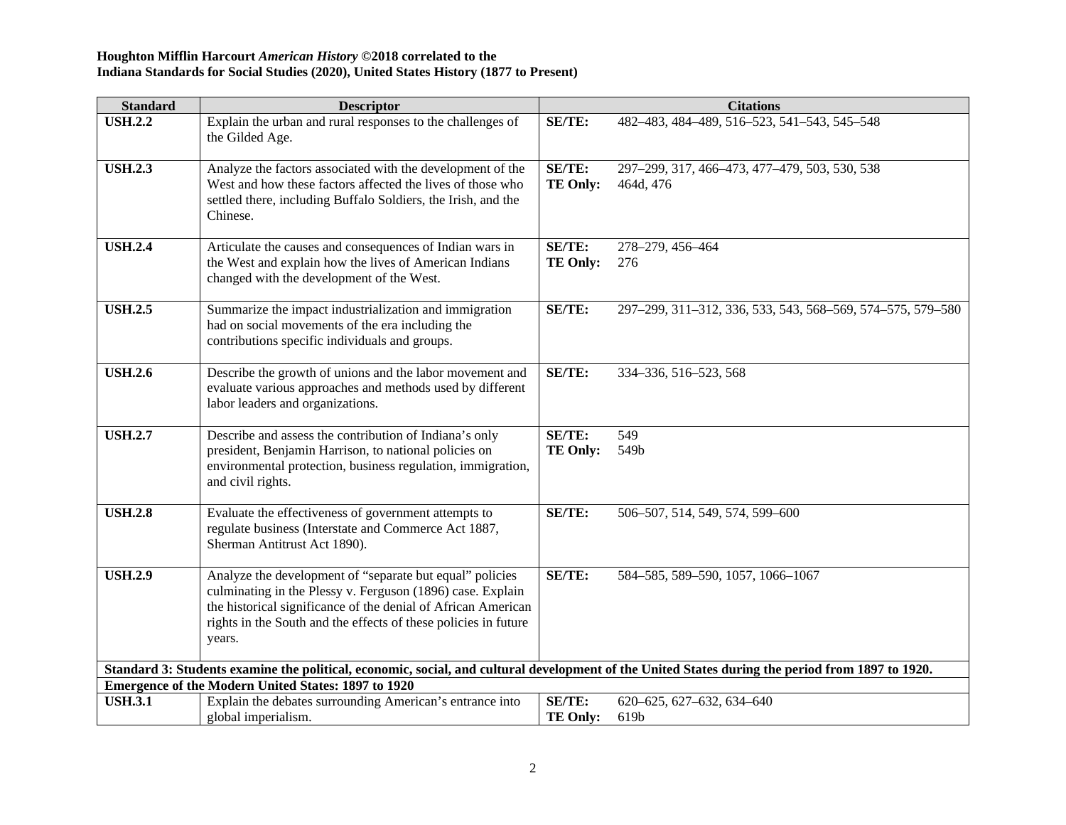| <b>Standard</b> | <b>Descriptor</b>                                                                                                                                                                                                                                                    |                           | <b>Citations</b>                                           |
|-----------------|----------------------------------------------------------------------------------------------------------------------------------------------------------------------------------------------------------------------------------------------------------------------|---------------------------|------------------------------------------------------------|
| <b>USH.2.2</b>  | Explain the urban and rural responses to the challenges of<br>the Gilded Age.                                                                                                                                                                                        | <b>SE/TE:</b>             | 482-483, 484-489, 516-523, 541-543, 545-548                |
| <b>USH.2.3</b>  | Analyze the factors associated with the development of the<br>West and how these factors affected the lives of those who<br>settled there, including Buffalo Soldiers, the Irish, and the<br>Chinese.                                                                | SE/TE:<br><b>TE Only:</b> | 297-299, 317, 466-473, 477-479, 503, 530, 538<br>464d, 476 |
| <b>USH.2.4</b>  | Articulate the causes and consequences of Indian wars in<br>the West and explain how the lives of American Indians<br>changed with the development of the West.                                                                                                      | SE/TE:<br><b>TE Only:</b> | 278-279, 456-464<br>276                                    |
| <b>USH.2.5</b>  | Summarize the impact industrialization and immigration<br>had on social movements of the era including the<br>contributions specific individuals and groups.                                                                                                         | <b>SE/TE:</b>             | 297-299, 311-312, 336, 533, 543, 568-569, 574-575, 579-580 |
| <b>USH.2.6</b>  | Describe the growth of unions and the labor movement and<br>evaluate various approaches and methods used by different<br>labor leaders and organizations.                                                                                                            | SE/TE:                    | 334-336, 516-523, 568                                      |
| <b>USH.2.7</b>  | Describe and assess the contribution of Indiana's only<br>president, Benjamin Harrison, to national policies on<br>environmental protection, business regulation, immigration,<br>and civil rights.                                                                  | SE/TE:<br><b>TE Only:</b> | 549<br>549b                                                |
| <b>USH.2.8</b>  | Evaluate the effectiveness of government attempts to<br>regulate business (Interstate and Commerce Act 1887,<br>Sherman Antitrust Act 1890).                                                                                                                         | SE/TE:                    | 506-507, 514, 549, 574, 599-600                            |
| <b>USH.2.9</b>  | Analyze the development of "separate but equal" policies<br>culminating in the Plessy v. Ferguson (1896) case. Explain<br>the historical significance of the denial of African American<br>rights in the South and the effects of these policies in future<br>years. | SE/TE:                    | 584-585, 589-590, 1057, 1066-1067                          |
|                 | Standard 3: Students examine the political, economic, social, and cultural development of the United States during the period from 1897 to 1920.                                                                                                                     |                           |                                                            |
|                 | <b>Emergence of the Modern United States: 1897 to 1920</b>                                                                                                                                                                                                           |                           |                                                            |
| <b>USH.3.1</b>  | Explain the debates surrounding American's entrance into<br>global imperialism.                                                                                                                                                                                      | SE/TE:<br><b>TE Only:</b> | 620-625, 627-632, 634-640<br>619b                          |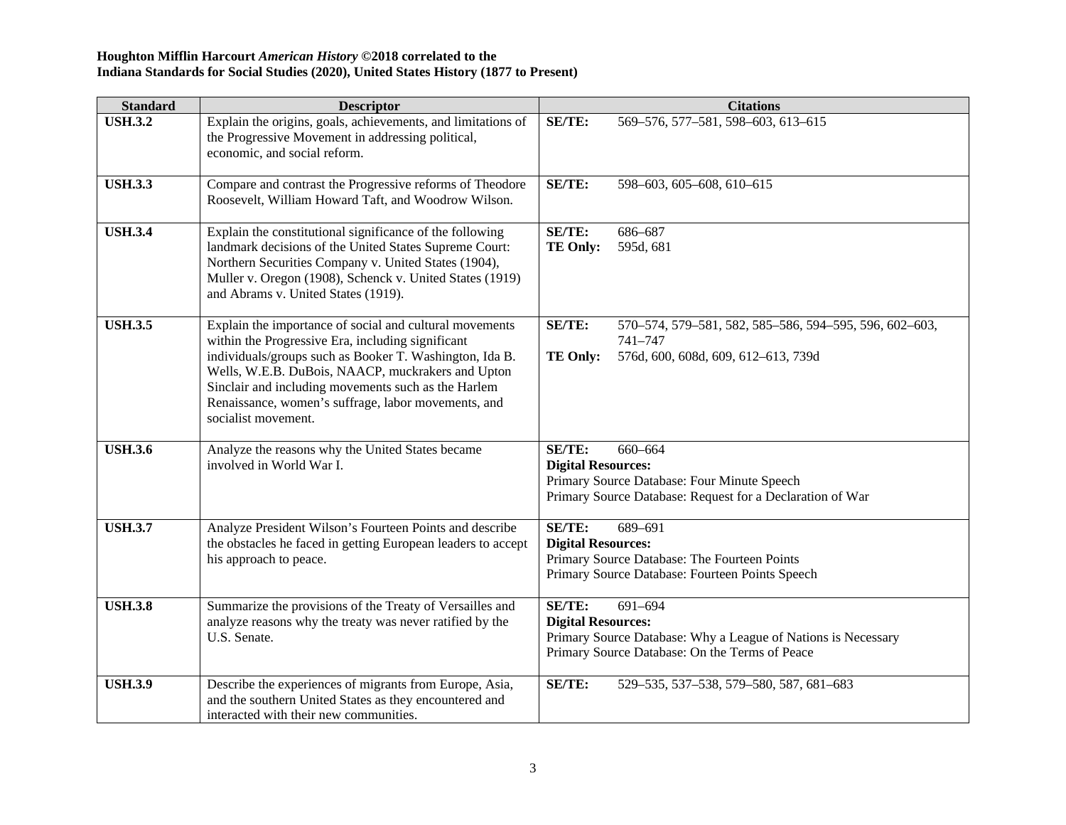| <b>Standard</b> | <b>Descriptor</b>                                                                                                                                                                                                                                                                                                                                                 | <b>Citations</b>                                                                                                                                                         |
|-----------------|-------------------------------------------------------------------------------------------------------------------------------------------------------------------------------------------------------------------------------------------------------------------------------------------------------------------------------------------------------------------|--------------------------------------------------------------------------------------------------------------------------------------------------------------------------|
| <b>USH.3.2</b>  | Explain the origins, goals, achievements, and limitations of<br>the Progressive Movement in addressing political,<br>economic, and social reform.                                                                                                                                                                                                                 | <b>SE/TE:</b><br>569-576, 577-581, 598-603, 613-615                                                                                                                      |
| <b>USH.3.3</b>  | Compare and contrast the Progressive reforms of Theodore<br>Roosevelt, William Howard Taft, and Woodrow Wilson.                                                                                                                                                                                                                                                   | SE/TE:<br>598-603, 605-608, 610-615                                                                                                                                      |
| <b>USH.3.4</b>  | Explain the constitutional significance of the following<br>landmark decisions of the United States Supreme Court:<br>Northern Securities Company v. United States (1904),<br>Muller v. Oregon (1908), Schenck v. United States (1919)<br>and Abrams v. United States (1919).                                                                                     | SE/TE:<br>686-687<br><b>TE Only:</b><br>595d, 681                                                                                                                        |
| <b>USH.3.5</b>  | Explain the importance of social and cultural movements<br>within the Progressive Era, including significant<br>individuals/groups such as Booker T. Washington, Ida B.<br>Wells, W.E.B. DuBois, NAACP, muckrakers and Upton<br>Sinclair and including movements such as the Harlem<br>Renaissance, women's suffrage, labor movements, and<br>socialist movement. | SE/TE:<br>570-574, 579-581, 582, 585-586, 594-595, 596, 602-603,<br>741-747<br><b>TE Only:</b><br>576d, 600, 608d, 609, 612-613, 739d                                    |
| <b>USH.3.6</b>  | Analyze the reasons why the United States became<br>involved in World War I.                                                                                                                                                                                                                                                                                      | SE/TE:<br>660-664<br><b>Digital Resources:</b><br>Primary Source Database: Four Minute Speech<br>Primary Source Database: Request for a Declaration of War               |
| <b>USH.3.7</b>  | Analyze President Wilson's Fourteen Points and describe<br>the obstacles he faced in getting European leaders to accept<br>his approach to peace.                                                                                                                                                                                                                 | SE/TE:<br>689-691<br><b>Digital Resources:</b><br>Primary Source Database: The Fourteen Points<br>Primary Source Database: Fourteen Points Speech                        |
| <b>USH.3.8</b>  | Summarize the provisions of the Treaty of Versailles and<br>analyze reasons why the treaty was never ratified by the<br>U.S. Senate.                                                                                                                                                                                                                              | <b>SE/TE:</b><br>691-694<br><b>Digital Resources:</b><br>Primary Source Database: Why a League of Nations is Necessary<br>Primary Source Database: On the Terms of Peace |
| <b>USH.3.9</b>  | Describe the experiences of migrants from Europe, Asia,<br>and the southern United States as they encountered and<br>interacted with their new communities.                                                                                                                                                                                                       | SE/TE:<br>529-535, 537-538, 579-580, 587, 681-683                                                                                                                        |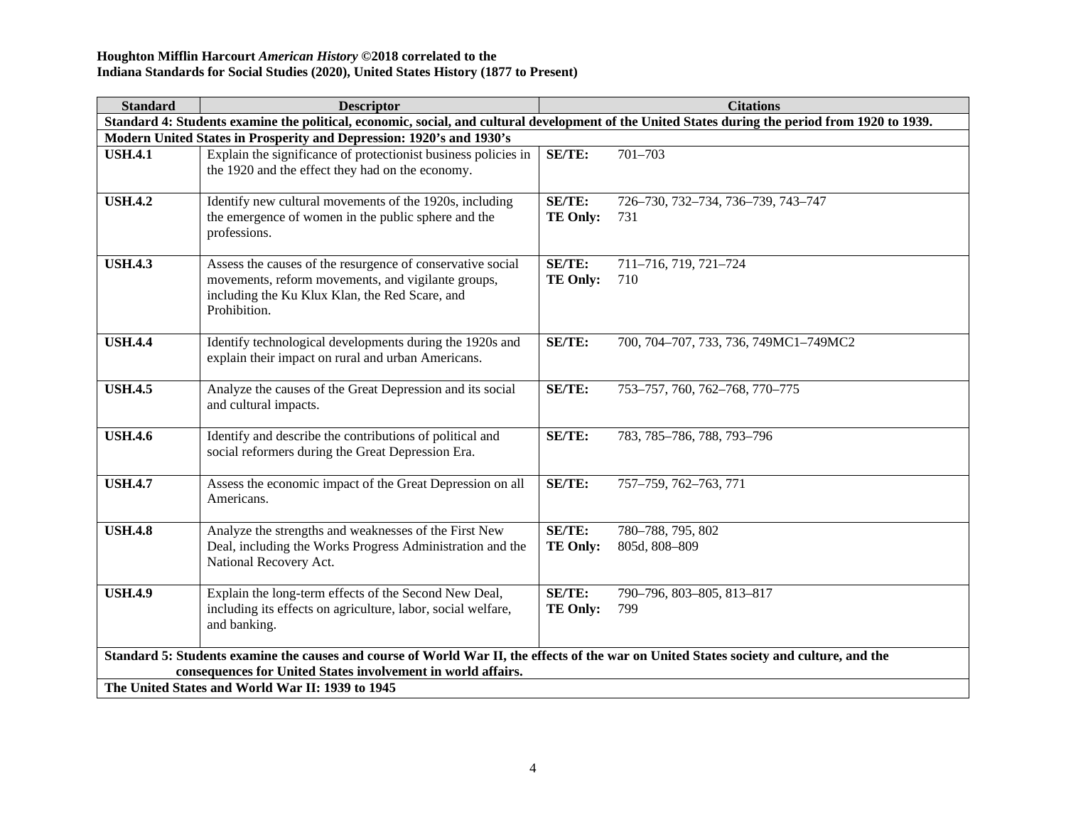| <b>Standard</b> | <b>Descriptor</b>                                                                                                                                                                                        |                 | <b>Citations</b>                      |  |
|-----------------|----------------------------------------------------------------------------------------------------------------------------------------------------------------------------------------------------------|-----------------|---------------------------------------|--|
|                 | Standard 4: Students examine the political, economic, social, and cultural development of the United States during the period from 1920 to 1939.                                                         |                 |                                       |  |
|                 | Modern United States in Prosperity and Depression: 1920's and 1930's                                                                                                                                     |                 |                                       |  |
| <b>USH.4.1</b>  | Explain the significance of protectionist business policies in                                                                                                                                           | SE/TE:          | $701 - 703$                           |  |
|                 | the 1920 and the effect they had on the economy.                                                                                                                                                         |                 |                                       |  |
| <b>USH.4.2</b>  | Identify new cultural movements of the 1920s, including                                                                                                                                                  | <b>SE/TE:</b>   | 726-730, 732-734, 736-739, 743-747    |  |
|                 | the emergence of women in the public sphere and the                                                                                                                                                      | <b>TE Only:</b> | 731                                   |  |
|                 | professions.                                                                                                                                                                                             |                 |                                       |  |
| <b>USH.4.3</b>  | Assess the causes of the resurgence of conservative social                                                                                                                                               | <b>SE/TE:</b>   | 711-716, 719, 721-724                 |  |
|                 | movements, reform movements, and vigilante groups,                                                                                                                                                       | <b>TE Only:</b> | 710                                   |  |
|                 | including the Ku Klux Klan, the Red Scare, and                                                                                                                                                           |                 |                                       |  |
|                 | Prohibition.                                                                                                                                                                                             |                 |                                       |  |
|                 |                                                                                                                                                                                                          |                 |                                       |  |
| <b>USH.4.4</b>  | Identify technological developments during the 1920s and                                                                                                                                                 | SE/TE:          | 700, 704-707, 733, 736, 749MC1-749MC2 |  |
|                 | explain their impact on rural and urban Americans.                                                                                                                                                       |                 |                                       |  |
| <b>USH.4.5</b>  | Analyze the causes of the Great Depression and its social                                                                                                                                                | SE/TE:          | 753-757, 760, 762-768, 770-775        |  |
|                 | and cultural impacts.                                                                                                                                                                                    |                 |                                       |  |
|                 |                                                                                                                                                                                                          |                 |                                       |  |
| <b>USH.4.6</b>  | Identify and describe the contributions of political and                                                                                                                                                 | SE/TE:          | 783, 785-786, 788, 793-796            |  |
|                 | social reformers during the Great Depression Era.                                                                                                                                                        |                 |                                       |  |
| <b>USH.4.7</b>  | Assess the economic impact of the Great Depression on all                                                                                                                                                | <b>SE/TE:</b>   | 757-759, 762-763, 771                 |  |
|                 | Americans.                                                                                                                                                                                               |                 |                                       |  |
|                 |                                                                                                                                                                                                          |                 |                                       |  |
| <b>USH.4.8</b>  | Analyze the strengths and weaknesses of the First New                                                                                                                                                    | SE/TE:          | 780-788, 795, 802                     |  |
|                 | Deal, including the Works Progress Administration and the                                                                                                                                                | <b>TE Only:</b> | 805d, 808-809                         |  |
|                 | National Recovery Act.                                                                                                                                                                                   |                 |                                       |  |
| <b>USH.4.9</b>  | Explain the long-term effects of the Second New Deal,                                                                                                                                                    | <b>SE/TE:</b>   | 790-796, 803-805, 813-817             |  |
|                 | including its effects on agriculture, labor, social welfare,                                                                                                                                             | <b>TE Only:</b> | 799                                   |  |
|                 | and banking.                                                                                                                                                                                             |                 |                                       |  |
|                 |                                                                                                                                                                                                          |                 |                                       |  |
|                 | Standard 5: Students examine the causes and course of World War II, the effects of the war on United States society and culture, and the<br>consequences for United States involvement in world affairs. |                 |                                       |  |
|                 | The United States and World War II: 1939 to 1945                                                                                                                                                         |                 |                                       |  |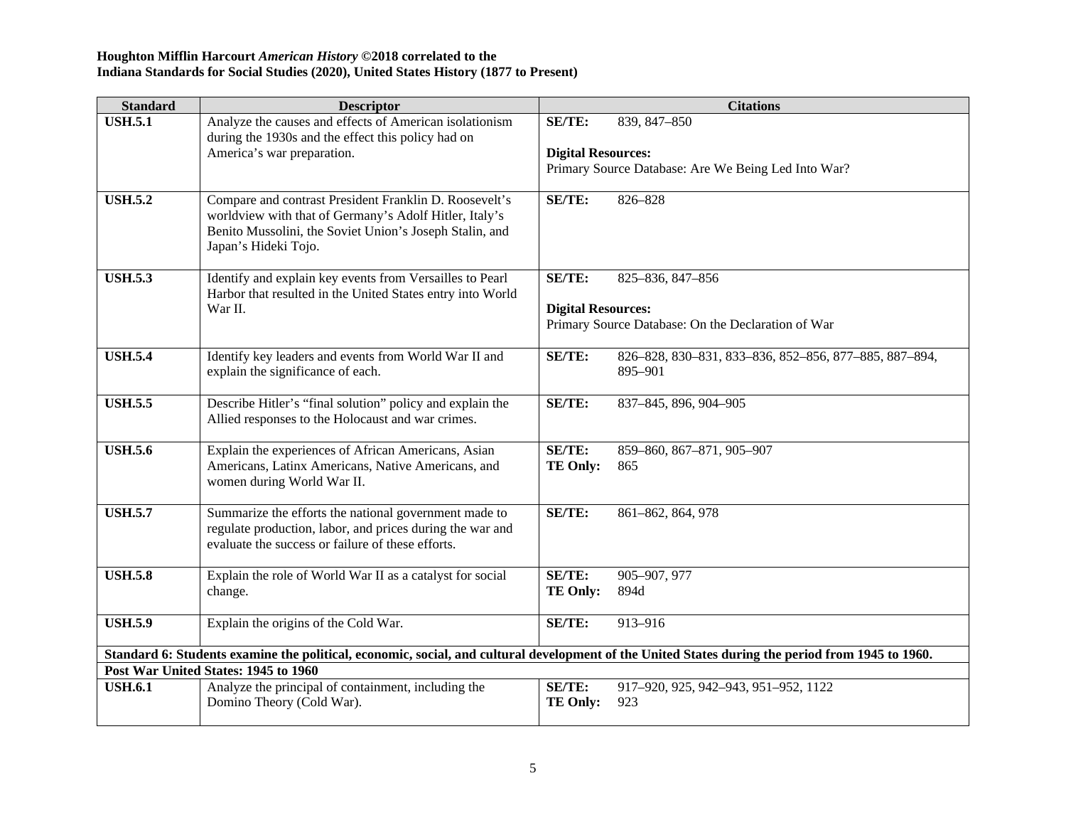| <b>Standard</b> | <b>Descriptor</b>                                                                                                                                                                                   |                                     | <b>Citations</b>                                                       |
|-----------------|-----------------------------------------------------------------------------------------------------------------------------------------------------------------------------------------------------|-------------------------------------|------------------------------------------------------------------------|
| <b>USH.5.1</b>  | Analyze the causes and effects of American isolationism<br>during the 1930s and the effect this policy had on<br>America's war preparation.                                                         | SE/TE:<br><b>Digital Resources:</b> | 839, 847-850                                                           |
|                 |                                                                                                                                                                                                     |                                     | Primary Source Database: Are We Being Led Into War?                    |
| <b>USH.5.2</b>  | Compare and contrast President Franklin D. Roosevelt's<br>worldview with that of Germany's Adolf Hitler, Italy's<br>Benito Mussolini, the Soviet Union's Joseph Stalin, and<br>Japan's Hideki Tojo. | SE/TE:                              | 826-828                                                                |
| <b>USH.5.3</b>  | Identify and explain key events from Versailles to Pearl<br>Harbor that resulted in the United States entry into World<br>War II.                                                                   | SE/TE:<br><b>Digital Resources:</b> | 825-836, 847-856<br>Primary Source Database: On the Declaration of War |
|                 |                                                                                                                                                                                                     |                                     |                                                                        |
| <b>USH.5.4</b>  | Identify key leaders and events from World War II and<br>explain the significance of each.                                                                                                          | SE/TE:                              | 826-828, 830-831, 833-836, 852-856, 877-885, 887-894,<br>895-901       |
| <b>USH.5.5</b>  | Describe Hitler's "final solution" policy and explain the<br>Allied responses to the Holocaust and war crimes.                                                                                      | SE/TE:                              | 837-845, 896, 904-905                                                  |
| <b>USH.5.6</b>  | Explain the experiences of African Americans, Asian<br>Americans, Latinx Americans, Native Americans, and<br>women during World War II.                                                             | SE/TE:<br><b>TE Only:</b>           | 859-860, 867-871, 905-907<br>865                                       |
| <b>USH.5.7</b>  | Summarize the efforts the national government made to<br>regulate production, labor, and prices during the war and<br>evaluate the success or failure of these efforts.                             | SE/TE:                              | 861-862, 864, 978                                                      |
| <b>USH.5.8</b>  | Explain the role of World War II as a catalyst for social<br>change.                                                                                                                                | <b>SE/TE:</b><br><b>TE Only:</b>    | 905-907, 977<br>894d                                                   |
| <b>USH.5.9</b>  | Explain the origins of the Cold War.                                                                                                                                                                | SE/TE:                              | 913-916                                                                |
|                 | Standard 6: Students examine the political, economic, social, and cultural development of the United States during the period from 1945 to 1960.                                                    |                                     |                                                                        |
|                 | Post War United States: 1945 to 1960                                                                                                                                                                |                                     |                                                                        |
| <b>USH.6.1</b>  | Analyze the principal of containment, including the<br>Domino Theory (Cold War).                                                                                                                    | <b>SE/TE:</b><br><b>TE Only:</b>    | 917-920, 925, 942-943, 951-952, 1122<br>923                            |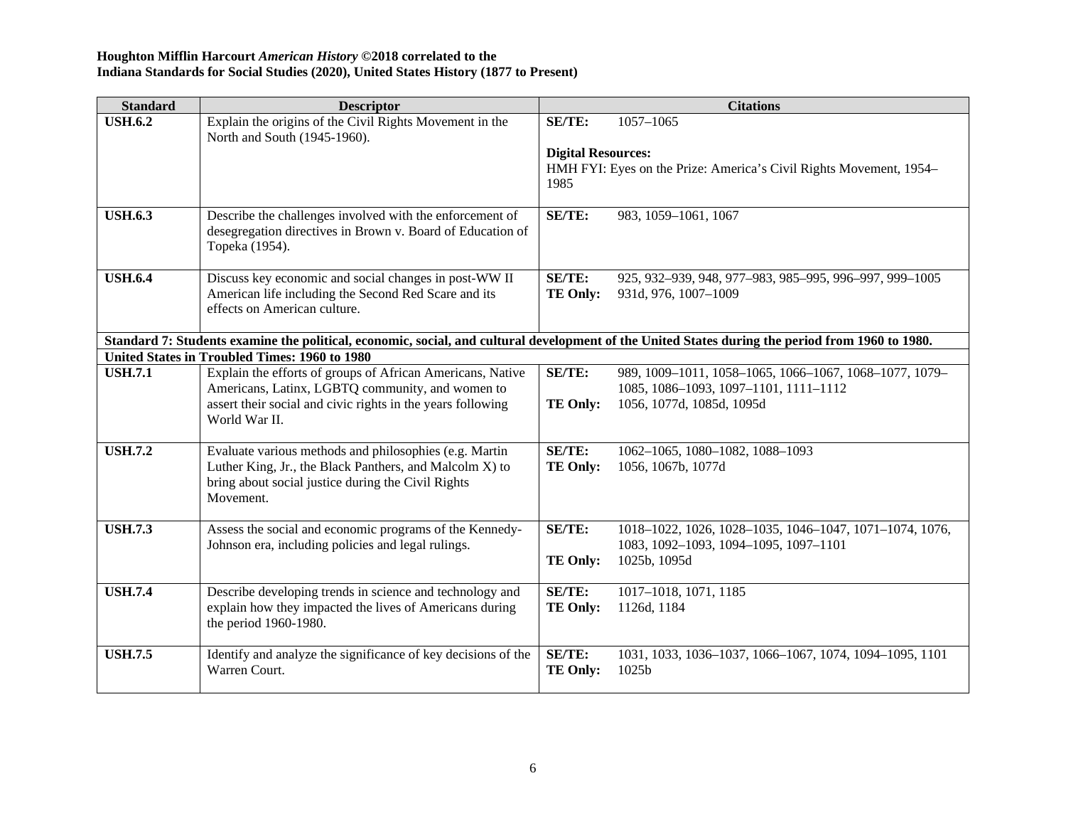| <b>Standard</b> | <b>Descriptor</b>                                                                                                                                |                                            | <b>Citations</b>                                                                                |
|-----------------|--------------------------------------------------------------------------------------------------------------------------------------------------|--------------------------------------------|-------------------------------------------------------------------------------------------------|
| <b>USH.6.2</b>  | Explain the origins of the Civil Rights Movement in the<br>North and South (1945-1960).                                                          | <b>SE/TE:</b><br><b>Digital Resources:</b> | 1057-1065                                                                                       |
|                 |                                                                                                                                                  | 1985                                       | HMH FYI: Eyes on the Prize: America's Civil Rights Movement, 1954–                              |
| <b>USH.6.3</b>  | Describe the challenges involved with the enforcement of<br>desegregation directives in Brown v. Board of Education of<br>Topeka (1954).         | SE/TE:                                     | 983, 1059-1061, 1067                                                                            |
| <b>USH.6.4</b>  | Discuss key economic and social changes in post-WW II<br>American life including the Second Red Scare and its<br>effects on American culture.    | <b>SE/TE:</b><br><b>TE Only:</b>           | 925, 932-939, 948, 977-983, 985-995, 996-997, 999-1005<br>931d, 976, 1007-1009                  |
|                 | Standard 7: Students examine the political, economic, social, and cultural development of the United States during the period from 1960 to 1980. |                                            |                                                                                                 |
|                 | United States in Troubled Times: 1960 to 1980                                                                                                    |                                            |                                                                                                 |
| <b>USH.7.1</b>  | Explain the efforts of groups of African Americans, Native<br>Americans, Latinx, LGBTQ community, and women to                                   | <b>SE/TE:</b>                              | 989, 1009-1011, 1058-1065, 1066-1067, 1068-1077, 1079-<br>1085, 1086-1093, 1097-1101, 1111-1112 |
|                 | assert their social and civic rights in the years following<br>World War II.                                                                     | <b>TE Only:</b>                            | 1056, 1077d, 1085d, 1095d                                                                       |
| <b>USH.7.2</b>  | Evaluate various methods and philosophies (e.g. Martin                                                                                           | SE/TE:                                     | 1062-1065, 1080-1082, 1088-1093                                                                 |
|                 | Luther King, Jr., the Black Panthers, and Malcolm X) to<br>bring about social justice during the Civil Rights<br>Movement.                       | <b>TE Only:</b>                            | 1056, 1067b, 1077d                                                                              |
| <b>USH.7.3</b>  | Assess the social and economic programs of the Kennedy-                                                                                          | SE/TE:                                     | 1018-1022, 1026, 1028-1035, 1046-1047, 1071-1074, 1076,                                         |
|                 | Johnson era, including policies and legal rulings.                                                                                               | <b>TE Only:</b>                            | 1083, 1092-1093, 1094-1095, 1097-1101<br>1025b, 1095d                                           |
| <b>USH.7.4</b>  | Describe developing trends in science and technology and<br>explain how they impacted the lives of Americans during<br>the period 1960-1980.     | SE/TE:<br><b>TE Only:</b>                  | 1017-1018, 1071, 1185<br>1126d, 1184                                                            |
| <b>USH.7.5</b>  | Identify and analyze the significance of key decisions of the<br>Warren Court.                                                                   | SE/TE:<br><b>TE Only:</b>                  | 1031, 1033, 1036-1037, 1066-1067, 1074, 1094-1095, 1101<br>1025b                                |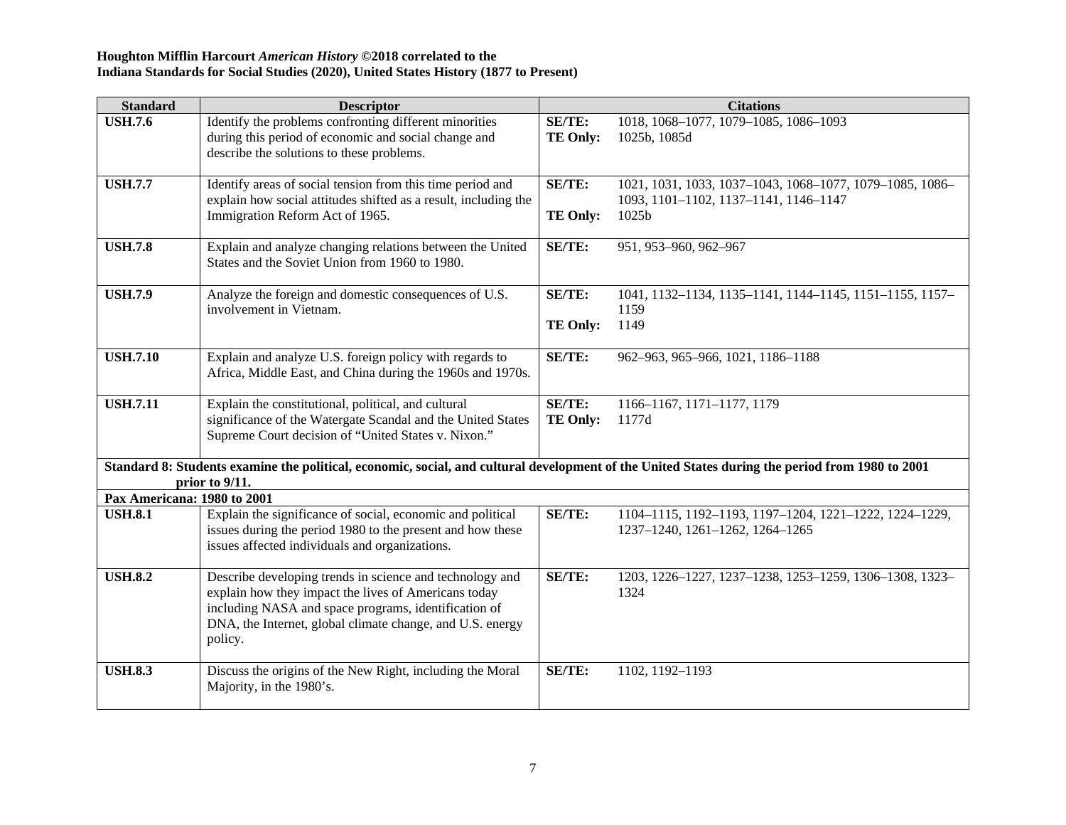| <b>Standard</b>             | <b>Descriptor</b>                                                                                                                                                                                                                                |                                  | <b>Citations</b>                                                                                           |
|-----------------------------|--------------------------------------------------------------------------------------------------------------------------------------------------------------------------------------------------------------------------------------------------|----------------------------------|------------------------------------------------------------------------------------------------------------|
| <b>USH.7.6</b>              | Identify the problems confronting different minorities<br>during this period of economic and social change and<br>describe the solutions to these problems.                                                                                      | <b>SE/TE:</b><br><b>TE Only:</b> | 1018, 1068-1077, 1079-1085, 1086-1093<br>1025b, 1085d                                                      |
| <b>USH.7.7</b>              | Identify areas of social tension from this time period and<br>explain how social attitudes shifted as a result, including the<br>Immigration Reform Act of 1965.                                                                                 | SE/TE:<br><b>TE Only:</b>        | 1021, 1031, 1033, 1037-1043, 1068-1077, 1079-1085, 1086-<br>1093, 1101-1102, 1137-1141, 1146-1147<br>1025b |
| <b>USH.7.8</b>              | Explain and analyze changing relations between the United<br>States and the Soviet Union from 1960 to 1980.                                                                                                                                      | SE/TE:                           | 951, 953-960, 962-967                                                                                      |
| <b>USH.7.9</b>              | Analyze the foreign and domestic consequences of U.S.<br>involvement in Vietnam.                                                                                                                                                                 | <b>SE/TE:</b><br><b>TE Only:</b> | 1041, 1132-1134, 1135-1141, 1144-1145, 1151-1155, 1157-<br>1159<br>1149                                    |
| <b>USH.7.10</b>             | Explain and analyze U.S. foreign policy with regards to<br>Africa, Middle East, and China during the 1960s and 1970s.                                                                                                                            | <b>SE/TE:</b>                    | 962-963, 965-966, 1021, 1186-1188                                                                          |
| <b>USH.7.11</b>             | Explain the constitutional, political, and cultural<br>significance of the Watergate Scandal and the United States<br>Supreme Court decision of "United States v. Nixon."                                                                        | <b>SE/TE:</b><br><b>TE Only:</b> | 1166-1167, 1171-1177, 1179<br>1177d                                                                        |
|                             | Standard 8: Students examine the political, economic, social, and cultural development of the United States during the period from 1980 to 2001<br>prior to 9/11.                                                                                |                                  |                                                                                                            |
| Pax Americana: 1980 to 2001 |                                                                                                                                                                                                                                                  |                                  |                                                                                                            |
| <b>USH.8.1</b>              | Explain the significance of social, economic and political<br>issues during the period 1980 to the present and how these<br>issues affected individuals and organizations.                                                                       | <b>SE/TE:</b>                    | 1104-1115, 1192-1193, 1197-1204, 1221-1222, 1224-1229,<br>1237-1240, 1261-1262, 1264-1265                  |
| <b>USH.8.2</b>              | Describe developing trends in science and technology and<br>explain how they impact the lives of Americans today<br>including NASA and space programs, identification of<br>DNA, the Internet, global climate change, and U.S. energy<br>policy. | SE/TE:                           | 1203, 1226-1227, 1237-1238, 1253-1259, 1306-1308, 1323-<br>1324                                            |
| <b>USH.8.3</b>              | Discuss the origins of the New Right, including the Moral<br>Majority, in the 1980's.                                                                                                                                                            | <b>SE/TE:</b>                    | 1102, 1192-1193                                                                                            |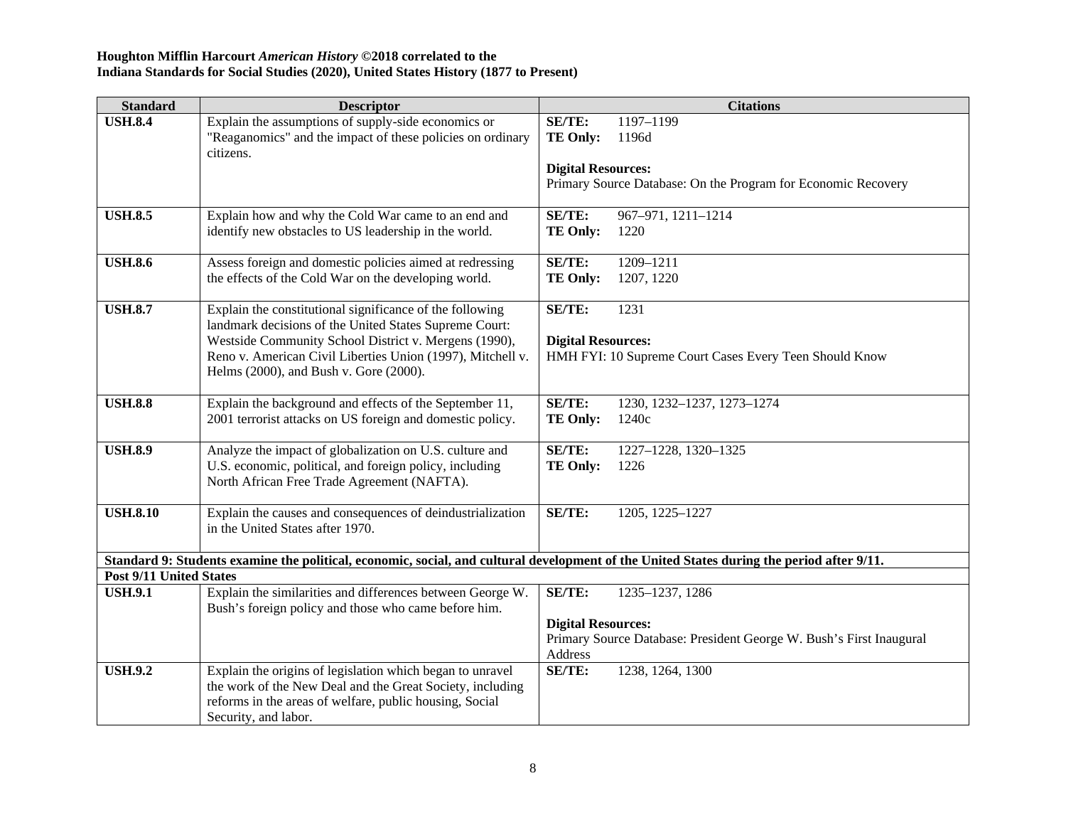| <b>Standard</b>                | <b>Descriptor</b>                                          | <b>Citations</b>                                                                                                                          |
|--------------------------------|------------------------------------------------------------|-------------------------------------------------------------------------------------------------------------------------------------------|
| <b>USH.8.4</b>                 | Explain the assumptions of supply-side economics or        | <b>SE/TE:</b><br>1197-1199                                                                                                                |
|                                | "Reaganomics" and the impact of these policies on ordinary | 1196d<br><b>TE Only:</b>                                                                                                                  |
|                                | citizens.                                                  |                                                                                                                                           |
|                                |                                                            | <b>Digital Resources:</b>                                                                                                                 |
|                                |                                                            | Primary Source Database: On the Program for Economic Recovery                                                                             |
|                                |                                                            |                                                                                                                                           |
| <b>USH.8.5</b>                 | Explain how and why the Cold War came to an end and        | <b>SE/TE:</b><br>967-971, 1211-1214                                                                                                       |
|                                | identify new obstacles to US leadership in the world.      | <b>TE Only:</b><br>1220                                                                                                                   |
| <b>USH.8.6</b>                 | Assess foreign and domestic policies aimed at redressing   | <b>SE/TE:</b><br>1209-1211                                                                                                                |
|                                | the effects of the Cold War on the developing world.       | TE Only:<br>1207, 1220                                                                                                                    |
|                                |                                                            |                                                                                                                                           |
| <b>USH.8.7</b>                 | Explain the constitutional significance of the following   | SE/TE:<br>1231                                                                                                                            |
|                                | landmark decisions of the United States Supreme Court:     |                                                                                                                                           |
|                                | Westside Community School District v. Mergens (1990),      | <b>Digital Resources:</b>                                                                                                                 |
|                                | Reno v. American Civil Liberties Union (1997), Mitchell v. | HMH FYI: 10 Supreme Court Cases Every Teen Should Know                                                                                    |
|                                | Helms (2000), and Bush v. Gore (2000).                     |                                                                                                                                           |
|                                |                                                            |                                                                                                                                           |
| <b>USH.8.8</b>                 | Explain the background and effects of the September 11,    | <b>SE/TE:</b><br>1230, 1232-1237, 1273-1274                                                                                               |
|                                | 2001 terrorist attacks on US foreign and domestic policy.  | <b>TE Only:</b><br>1240c                                                                                                                  |
|                                |                                                            |                                                                                                                                           |
| <b>USH.8.9</b>                 | Analyze the impact of globalization on U.S. culture and    | SE/TE:<br>1227-1228, 1320-1325                                                                                                            |
|                                | U.S. economic, political, and foreign policy, including    | <b>TE Only:</b><br>1226                                                                                                                   |
|                                | North African Free Trade Agreement (NAFTA).                |                                                                                                                                           |
| <b>USH.8.10</b>                | Explain the causes and consequences of deindustrialization | SE/TE:<br>1205, 1225-1227                                                                                                                 |
|                                | in the United States after 1970.                           |                                                                                                                                           |
|                                |                                                            |                                                                                                                                           |
|                                |                                                            | Standard 9: Students examine the political, economic, social, and cultural development of the United States during the period after 9/11. |
| <b>Post 9/11 United States</b> |                                                            |                                                                                                                                           |
| <b>USH.9.1</b>                 | Explain the similarities and differences between George W. | <b>SE/TE:</b><br>1235-1237, 1286                                                                                                          |
|                                | Bush's foreign policy and those who came before him.       |                                                                                                                                           |
|                                |                                                            | <b>Digital Resources:</b>                                                                                                                 |
|                                |                                                            | Primary Source Database: President George W. Bush's First Inaugural                                                                       |
|                                |                                                            | Address                                                                                                                                   |
| <b>USH.9.2</b>                 | Explain the origins of legislation which began to unravel  | SE/TE:<br>1238, 1264, 1300                                                                                                                |
|                                | the work of the New Deal and the Great Society, including  |                                                                                                                                           |
|                                | reforms in the areas of welfare, public housing, Social    |                                                                                                                                           |
|                                | Security, and labor.                                       |                                                                                                                                           |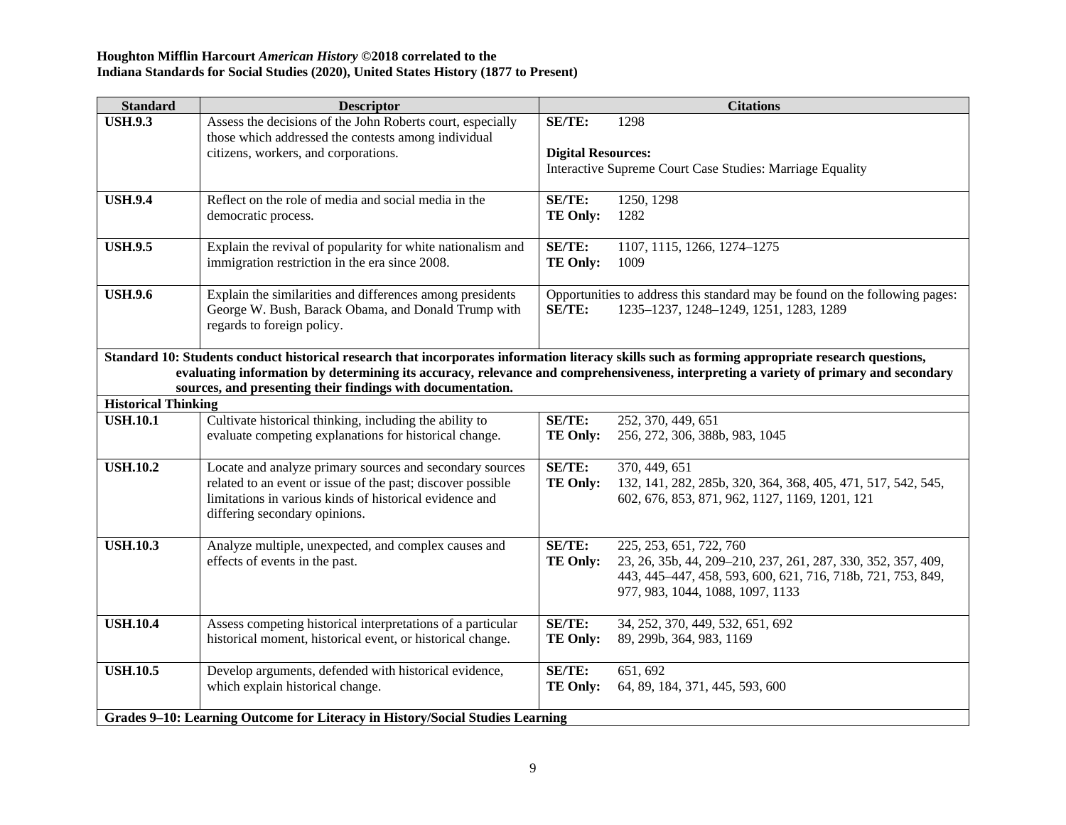| <b>Standard</b>            | <b>Descriptor</b>                                                                                                                                                                                                   |                                            | <b>Citations</b>                                                                                                                                                                           |
|----------------------------|---------------------------------------------------------------------------------------------------------------------------------------------------------------------------------------------------------------------|--------------------------------------------|--------------------------------------------------------------------------------------------------------------------------------------------------------------------------------------------|
| <b>USH.9.3</b>             | Assess the decisions of the John Roberts court, especially<br>those which addressed the contests among individual<br>citizens, workers, and corporations.                                                           | <b>SE/TE:</b><br><b>Digital Resources:</b> | 1298                                                                                                                                                                                       |
|                            |                                                                                                                                                                                                                     |                                            | Interactive Supreme Court Case Studies: Marriage Equality                                                                                                                                  |
| <b>USH.9.4</b>             | Reflect on the role of media and social media in the<br>democratic process.                                                                                                                                         | <b>SE/TE:</b><br><b>TE Only:</b>           | 1250, 1298<br>1282                                                                                                                                                                         |
| <b>USH.9.5</b>             | Explain the revival of popularity for white nationalism and<br>immigration restriction in the era since 2008.                                                                                                       | <b>SE/TE:</b><br><b>TE Only:</b>           | 1107, 1115, 1266, 1274-1275<br>1009                                                                                                                                                        |
| <b>USH.9.6</b>             | Explain the similarities and differences among presidents<br>George W. Bush, Barack Obama, and Donald Trump with<br>regards to foreign policy.                                                                      | <b>SE/TE:</b>                              | Opportunities to address this standard may be found on the following pages:<br>1235-1237, 1248-1249, 1251, 1283, 1289                                                                      |
|                            | Standard 10: Students conduct historical research that incorporates information literacy skills such as forming appropriate research questions,<br>sources, and presenting their findings with documentation.       |                                            | evaluating information by determining its accuracy, relevance and comprehensiveness, interpreting a variety of primary and secondary                                                       |
| <b>Historical Thinking</b> |                                                                                                                                                                                                                     |                                            |                                                                                                                                                                                            |
| <b>USH.10.1</b>            | Cultivate historical thinking, including the ability to<br>evaluate competing explanations for historical change.                                                                                                   | <b>SE/TE:</b><br><b>TE Only:</b>           | 252, 370, 449, 651<br>256, 272, 306, 388b, 983, 1045                                                                                                                                       |
| <b>USH.10.2</b>            | Locate and analyze primary sources and secondary sources<br>related to an event or issue of the past; discover possible<br>limitations in various kinds of historical evidence and<br>differing secondary opinions. | SE/TE:<br><b>TE Only:</b>                  | 370, 449, 651<br>132, 141, 282, 285b, 320, 364, 368, 405, 471, 517, 542, 545,<br>602, 676, 853, 871, 962, 1127, 1169, 1201, 121                                                            |
| <b>USH.10.3</b>            | Analyze multiple, unexpected, and complex causes and<br>effects of events in the past.                                                                                                                              | <b>SE/TE:</b><br><b>TE Only:</b>           | 225, 253, 651, 722, 760<br>23, 26, 35b, 44, 209-210, 237, 261, 287, 330, 352, 357, 409,<br>443, 445-447, 458, 593, 600, 621, 716, 718b, 721, 753, 849,<br>977, 983, 1044, 1088, 1097, 1133 |
| <b>USH.10.4</b>            | Assess competing historical interpretations of a particular<br>historical moment, historical event, or historical change.                                                                                           | <b>SE/TE:</b><br><b>TE Only:</b>           | 34, 252, 370, 449, 532, 651, 692<br>89, 299b, 364, 983, 1169                                                                                                                               |
| <b>USH.10.5</b>            | Develop arguments, defended with historical evidence,<br>which explain historical change.                                                                                                                           | SE/TE:<br><b>TE Only:</b>                  | 651, 692<br>64, 89, 184, 371, 445, 593, 600                                                                                                                                                |
|                            | Grades 9-10: Learning Outcome for Literacy in History/Social Studies Learning                                                                                                                                       |                                            |                                                                                                                                                                                            |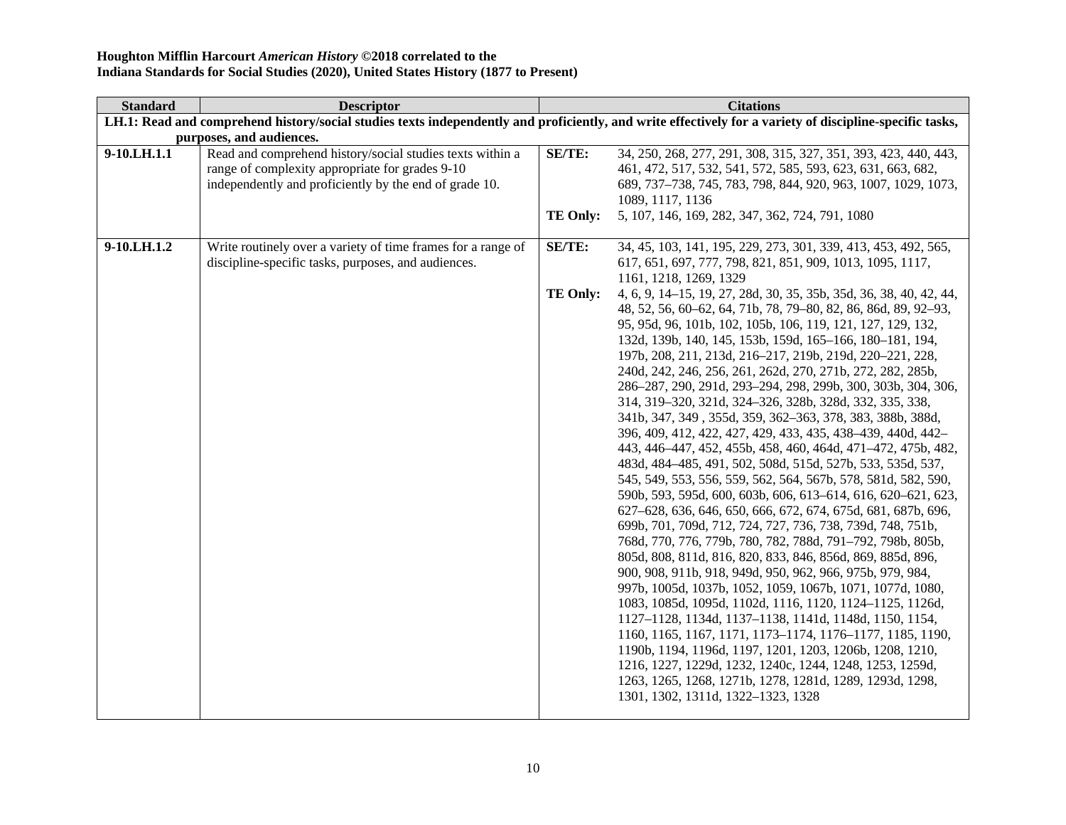| <b>Standard</b> | <b>Descriptor</b>                                            |                 | <b>Citations</b>                                                                                                                                         |
|-----------------|--------------------------------------------------------------|-----------------|----------------------------------------------------------------------------------------------------------------------------------------------------------|
|                 |                                                              |                 | LH.1: Read and comprehend history/social studies texts independently and proficiently, and write effectively for a variety of discipline-specific tasks, |
|                 | purposes, and audiences.                                     |                 |                                                                                                                                                          |
| 9-10.LH.1.1     | Read and comprehend history/social studies texts within a    | SE/TE:          | 34, 250, 268, 277, 291, 308, 315, 327, 351, 393, 423, 440, 443,                                                                                          |
|                 | range of complexity appropriate for grades 9-10              |                 | 461, 472, 517, 532, 541, 572, 585, 593, 623, 631, 663, 682,                                                                                              |
|                 | independently and proficiently by the end of grade 10.       |                 | 689, 737-738, 745, 783, 798, 844, 920, 963, 1007, 1029, 1073,                                                                                            |
|                 |                                                              |                 | 1089, 1117, 1136                                                                                                                                         |
|                 |                                                              | <b>TE Only:</b> | 5, 107, 146, 169, 282, 347, 362, 724, 791, 1080                                                                                                          |
|                 |                                                              |                 |                                                                                                                                                          |
| 9-10.LH.1.2     | Write routinely over a variety of time frames for a range of | SE/TE:          | 34, 45, 103, 141, 195, 229, 273, 301, 339, 413, 453, 492, 565,                                                                                           |
|                 | discipline-specific tasks, purposes, and audiences.          |                 | 617, 651, 697, 777, 798, 821, 851, 909, 1013, 1095, 1117,                                                                                                |
|                 |                                                              |                 | 1161, 1218, 1269, 1329                                                                                                                                   |
|                 |                                                              | <b>TE Only:</b> | 4, 6, 9, 14–15, 19, 27, 28d, 30, 35, 35b, 35d, 36, 38, 40, 42, 44,                                                                                       |
|                 |                                                              |                 | 48, 52, 56, 60–62, 64, 71b, 78, 79–80, 82, 86, 86d, 89, 92–93,                                                                                           |
|                 |                                                              |                 | 95, 95d, 96, 101b, 102, 105b, 106, 119, 121, 127, 129, 132,                                                                                              |
|                 |                                                              |                 | 132d, 139b, 140, 145, 153b, 159d, 165-166, 180-181, 194,                                                                                                 |
|                 |                                                              |                 | 197b, 208, 211, 213d, 216-217, 219b, 219d, 220-221, 228,                                                                                                 |
|                 |                                                              |                 | 240d, 242, 246, 256, 261, 262d, 270, 271b, 272, 282, 285b,                                                                                               |
|                 |                                                              |                 | 286-287, 290, 291d, 293-294, 298, 299b, 300, 303b, 304, 306,                                                                                             |
|                 |                                                              |                 | 314, 319–320, 321d, 324–326, 328b, 328d, 332, 335, 338,                                                                                                  |
|                 |                                                              |                 | 341b, 347, 349, 355d, 359, 362-363, 378, 383, 388b, 388d,                                                                                                |
|                 |                                                              |                 | 396, 409, 412, 422, 427, 429, 433, 435, 438–439, 440d, 442–                                                                                              |
|                 |                                                              |                 | 443, 446–447, 452, 455b, 458, 460, 464d, 471–472, 475b, 482,                                                                                             |
|                 |                                                              |                 | 483d, 484-485, 491, 502, 508d, 515d, 527b, 533, 535d, 537,                                                                                               |
|                 |                                                              |                 | 545, 549, 553, 556, 559, 562, 564, 567b, 578, 581d, 582, 590,                                                                                            |
|                 |                                                              |                 | 590b, 593, 595d, 600, 603b, 606, 613–614, 616, 620–621, 623,                                                                                             |
|                 |                                                              |                 | 627-628, 636, 646, 650, 666, 672, 674, 675d, 681, 687b, 696,                                                                                             |
|                 |                                                              |                 | 699b, 701, 709d, 712, 724, 727, 736, 738, 739d, 748, 751b,                                                                                               |
|                 |                                                              |                 | 768d, 770, 776, 779b, 780, 782, 788d, 791-792, 798b, 805b,                                                                                               |
|                 |                                                              |                 | 805d, 808, 811d, 816, 820, 833, 846, 856d, 869, 885d, 896,                                                                                               |
|                 |                                                              |                 | 900, 908, 911b, 918, 949d, 950, 962, 966, 975b, 979, 984,                                                                                                |
|                 |                                                              |                 | 997b, 1005d, 1037b, 1052, 1059, 1067b, 1071, 1077d, 1080,                                                                                                |
|                 |                                                              |                 | 1083, 1085d, 1095d, 1102d, 1116, 1120, 1124-1125, 1126d,                                                                                                 |
|                 |                                                              |                 | 1127-1128, 1134d, 1137-1138, 1141d, 1148d, 1150, 1154,                                                                                                   |
|                 |                                                              |                 | 1160, 1165, 1167, 1171, 1173–1174, 1176–1177, 1185, 1190,                                                                                                |
|                 |                                                              |                 | 1190b, 1194, 1196d, 1197, 1201, 1203, 1206b, 1208, 1210,                                                                                                 |
|                 |                                                              |                 | 1216, 1227, 1229d, 1232, 1240c, 1244, 1248, 1253, 1259d,                                                                                                 |
|                 |                                                              |                 | 1263, 1265, 1268, 1271b, 1278, 1281d, 1289, 1293d, 1298,                                                                                                 |
|                 |                                                              |                 | 1301, 1302, 1311d, 1322-1323, 1328                                                                                                                       |
|                 |                                                              |                 |                                                                                                                                                          |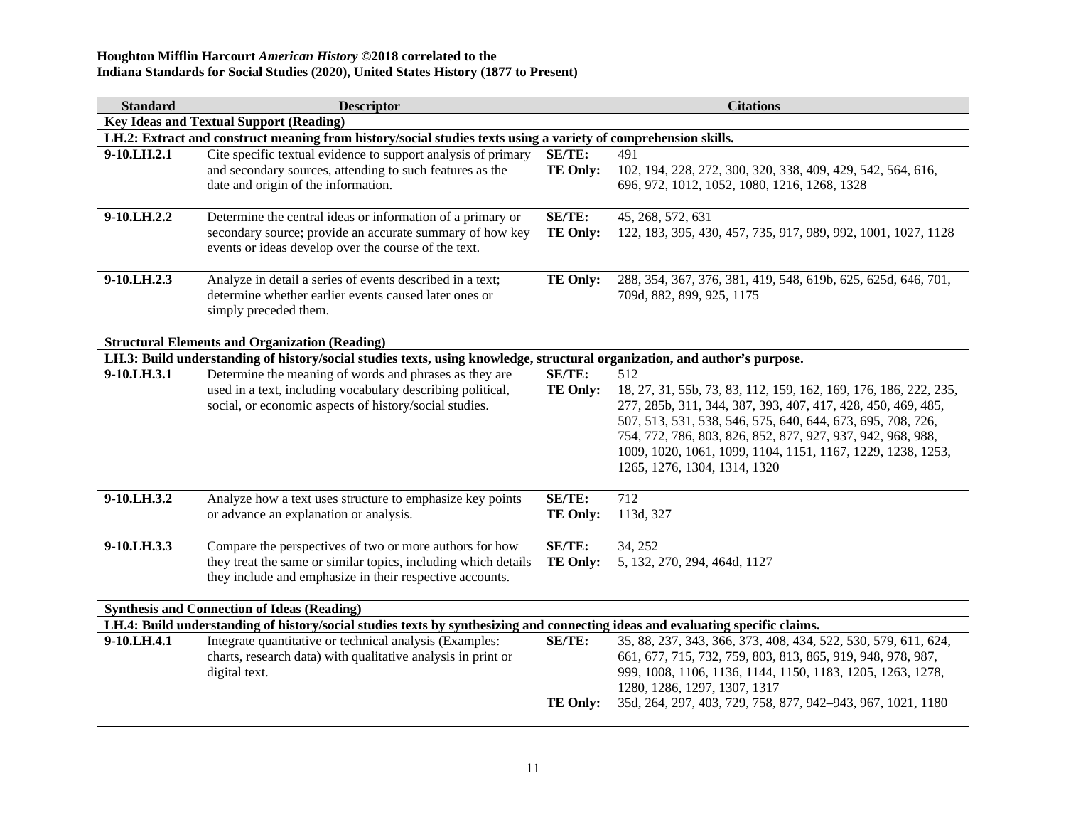| <b>Standard</b> | <b>Descriptor</b>                                                                                                                                                                     |                                  | <b>Citations</b>                                                                                                                                                                                                                                                                                                                                                     |
|-----------------|---------------------------------------------------------------------------------------------------------------------------------------------------------------------------------------|----------------------------------|----------------------------------------------------------------------------------------------------------------------------------------------------------------------------------------------------------------------------------------------------------------------------------------------------------------------------------------------------------------------|
|                 | <b>Key Ideas and Textual Support (Reading)</b>                                                                                                                                        |                                  |                                                                                                                                                                                                                                                                                                                                                                      |
|                 | LH.2: Extract and construct meaning from history/social studies texts using a variety of comprehension skills.                                                                        |                                  |                                                                                                                                                                                                                                                                                                                                                                      |
| 9-10.LH.2.1     | Cite specific textual evidence to support analysis of primary<br>and secondary sources, attending to such features as the<br>date and origin of the information.                      | SE/TE:<br><b>TE Only:</b>        | 491<br>102, 194, 228, 272, 300, 320, 338, 409, 429, 542, 564, 616,<br>696, 972, 1012, 1052, 1080, 1216, 1268, 1328                                                                                                                                                                                                                                                   |
| 9-10.LH.2.2     | Determine the central ideas or information of a primary or<br>secondary source; provide an accurate summary of how key<br>events or ideas develop over the course of the text.        | <b>SE/TE:</b><br>TE Only:        | 45, 268, 572, 631<br>122, 183, 395, 430, 457, 735, 917, 989, 992, 1001, 1027, 1128                                                                                                                                                                                                                                                                                   |
| 9-10.LH.2.3     | Analyze in detail a series of events described in a text;<br>determine whether earlier events caused later ones or<br>simply preceded them.                                           | <b>TE Only:</b>                  | 288, 354, 367, 376, 381, 419, 548, 619b, 625, 625d, 646, 701,<br>709d, 882, 899, 925, 1175                                                                                                                                                                                                                                                                           |
|                 | <b>Structural Elements and Organization (Reading)</b>                                                                                                                                 |                                  |                                                                                                                                                                                                                                                                                                                                                                      |
|                 | LH.3: Build understanding of history/social studies texts, using knowledge, structural organization, and author's purpose.                                                            |                                  |                                                                                                                                                                                                                                                                                                                                                                      |
| 9-10.LH.3.1     | Determine the meaning of words and phrases as they are<br>used in a text, including vocabulary describing political,<br>social, or economic aspects of history/social studies.        | SE/TE:<br><b>TE Only:</b>        | 512<br>18, 27, 31, 55b, 73, 83, 112, 159, 162, 169, 176, 186, 222, 235,<br>277, 285b, 311, 344, 387, 393, 407, 417, 428, 450, 469, 485,<br>507, 513, 531, 538, 546, 575, 640, 644, 673, 695, 708, 726,<br>754, 772, 786, 803, 826, 852, 877, 927, 937, 942, 968, 988,<br>1009, 1020, 1061, 1099, 1104, 1151, 1167, 1229, 1238, 1253,<br>1265, 1276, 1304, 1314, 1320 |
| 9-10.LH.3.2     | Analyze how a text uses structure to emphasize key points<br>or advance an explanation or analysis.                                                                                   | <b>SE/TE:</b><br><b>TE Only:</b> | 712<br>113d, 327                                                                                                                                                                                                                                                                                                                                                     |
| 9-10.LH.3.3     | Compare the perspectives of two or more authors for how<br>they treat the same or similar topics, including which details<br>they include and emphasize in their respective accounts. | <b>SE/TE:</b><br><b>TE Only:</b> | 34, 252<br>5, 132, 270, 294, 464d, 1127                                                                                                                                                                                                                                                                                                                              |
|                 | <b>Synthesis and Connection of Ideas (Reading)</b>                                                                                                                                    |                                  |                                                                                                                                                                                                                                                                                                                                                                      |
|                 | LH.4: Build understanding of history/social studies texts by synthesizing and connecting ideas and evaluating specific claims.                                                        |                                  |                                                                                                                                                                                                                                                                                                                                                                      |
| 9-10.LH.4.1     | Integrate quantitative or technical analysis (Examples:<br>charts, research data) with qualitative analysis in print or<br>digital text.                                              | SE/TE:<br><b>TE Only:</b>        | 35, 88, 237, 343, 366, 373, 408, 434, 522, 530, 579, 611, 624,<br>661, 677, 715, 732, 759, 803, 813, 865, 919, 948, 978, 987,<br>999, 1008, 1106, 1136, 1144, 1150, 1183, 1205, 1263, 1278,<br>1280, 1286, 1297, 1307, 1317<br>35d, 264, 297, 403, 729, 758, 877, 942-943, 967, 1021, 1180                                                                           |
|                 |                                                                                                                                                                                       |                                  |                                                                                                                                                                                                                                                                                                                                                                      |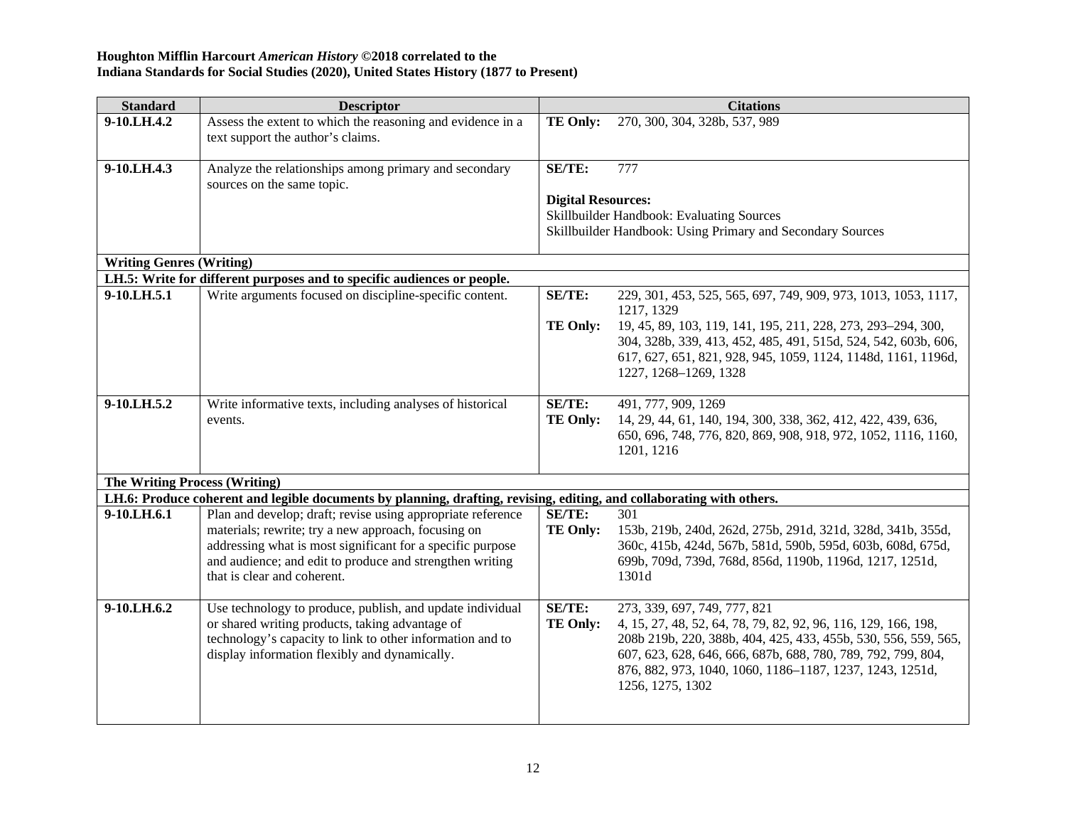| <b>Standard</b>                      | <b>Descriptor</b>                                                                                                                                                                                                                                                           |                                     | <b>Citations</b>                                                                                                                                                                                                                                                                                                 |
|--------------------------------------|-----------------------------------------------------------------------------------------------------------------------------------------------------------------------------------------------------------------------------------------------------------------------------|-------------------------------------|------------------------------------------------------------------------------------------------------------------------------------------------------------------------------------------------------------------------------------------------------------------------------------------------------------------|
| 9-10.LH.4.2                          | Assess the extent to which the reasoning and evidence in a<br>text support the author's claims.                                                                                                                                                                             | TE Only:                            | 270, 300, 304, 328b, 537, 989                                                                                                                                                                                                                                                                                    |
| 9-10.LH.4.3                          | Analyze the relationships among primary and secondary<br>sources on the same topic.                                                                                                                                                                                         | SE/TE:<br><b>Digital Resources:</b> | 777<br>Skillbuilder Handbook: Evaluating Sources<br>Skillbuilder Handbook: Using Primary and Secondary Sources                                                                                                                                                                                                   |
| <b>Writing Genres (Writing)</b>      |                                                                                                                                                                                                                                                                             |                                     |                                                                                                                                                                                                                                                                                                                  |
|                                      | LH.5: Write for different purposes and to specific audiences or people.                                                                                                                                                                                                     |                                     |                                                                                                                                                                                                                                                                                                                  |
| 9-10.LH.5.1                          | Write arguments focused on discipline-specific content.                                                                                                                                                                                                                     | <b>SE/TE:</b><br><b>TE Only:</b>    | 229, 301, 453, 525, 565, 697, 749, 909, 973, 1013, 1053, 1117,<br>1217, 1329<br>19, 45, 89, 103, 119, 141, 195, 211, 228, 273, 293-294, 300,                                                                                                                                                                     |
|                                      |                                                                                                                                                                                                                                                                             |                                     | 304, 328b, 339, 413, 452, 485, 491, 515d, 524, 542, 603b, 606,<br>617, 627, 651, 821, 928, 945, 1059, 1124, 1148d, 1161, 1196d,<br>1227, 1268-1269, 1328                                                                                                                                                         |
| 9-10.LH.5.2                          | Write informative texts, including analyses of historical<br>events.                                                                                                                                                                                                        | SE/TE:<br><b>TE Only:</b>           | 491, 777, 909, 1269<br>14, 29, 44, 61, 140, 194, 300, 338, 362, 412, 422, 439, 636,<br>650, 696, 748, 776, 820, 869, 908, 918, 972, 1052, 1116, 1160,<br>1201, 1216                                                                                                                                              |
| <b>The Writing Process (Writing)</b> |                                                                                                                                                                                                                                                                             |                                     |                                                                                                                                                                                                                                                                                                                  |
|                                      | LH.6: Produce coherent and legible documents by planning, drafting, revising, editing, and collaborating with others.                                                                                                                                                       |                                     |                                                                                                                                                                                                                                                                                                                  |
| 9-10.LH.6.1                          | Plan and develop; draft; revise using appropriate reference<br>materials; rewrite; try a new approach, focusing on<br>addressing what is most significant for a specific purpose<br>and audience; and edit to produce and strengthen writing<br>that is clear and coherent. | SE/TE:<br><b>TE Only:</b>           | 301<br>153b, 219b, 240d, 262d, 275b, 291d, 321d, 328d, 341b, 355d,<br>360c, 415b, 424d, 567b, 581d, 590b, 595d, 603b, 608d, 675d,<br>699b, 709d, 739d, 768d, 856d, 1190b, 1196d, 1217, 1251d,<br>1301d                                                                                                           |
| 9-10.LH.6.2                          | Use technology to produce, publish, and update individual<br>or shared writing products, taking advantage of<br>technology's capacity to link to other information and to<br>display information flexibly and dynamically.                                                  | SE/TE:<br><b>TE Only:</b>           | 273, 339, 697, 749, 777, 821<br>4, 15, 27, 48, 52, 64, 78, 79, 82, 92, 96, 116, 129, 166, 198,<br>208b 219b, 220, 388b, 404, 425, 433, 455b, 530, 556, 559, 565,<br>607, 623, 628, 646, 666, 687b, 688, 780, 789, 792, 799, 804,<br>876, 882, 973, 1040, 1060, 1186-1187, 1237, 1243, 1251d,<br>1256, 1275, 1302 |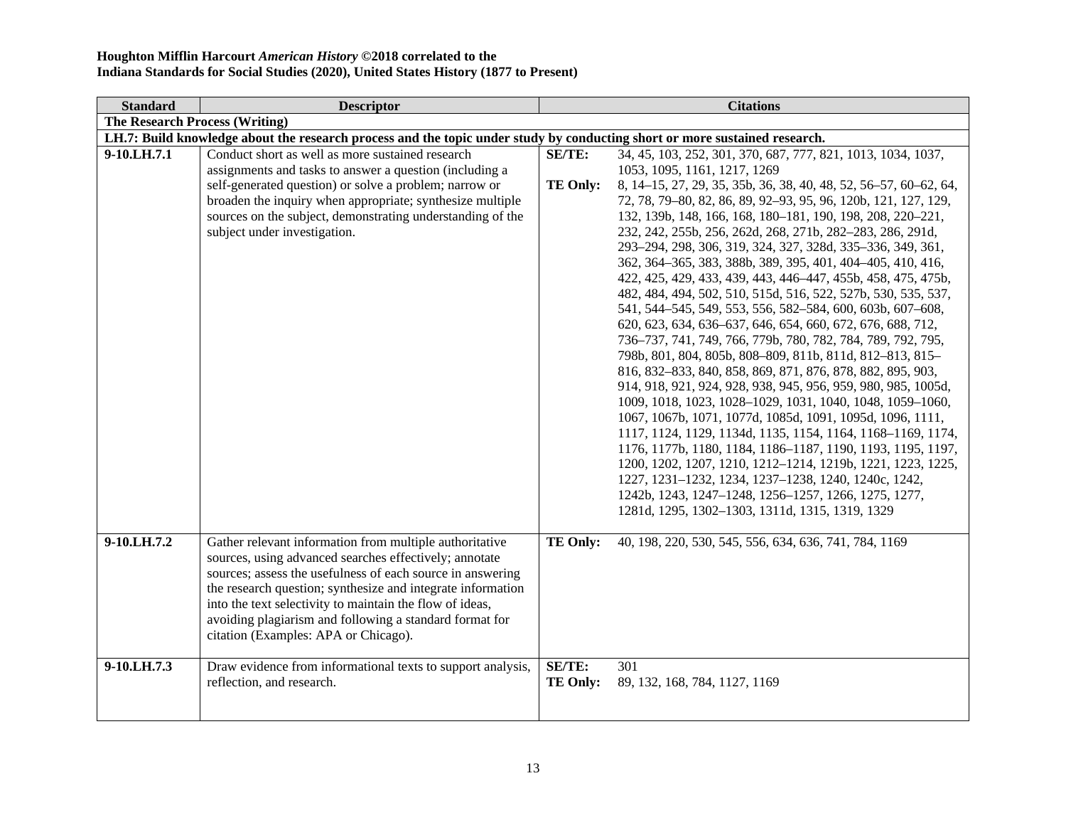| <b>Standard</b> | <b>Descriptor</b>                                                                                                                                                                                                                                                                                                                                                                                             |                           | <b>Citations</b>                                                                                                                                                                                                                                                                                                                                                                                                                                                                                                                                                                                                                                                                                                                                                                                                                                                                                                                                                                                                                                                                                                                                                                                                                                                                                                                                                                               |  |
|-----------------|---------------------------------------------------------------------------------------------------------------------------------------------------------------------------------------------------------------------------------------------------------------------------------------------------------------------------------------------------------------------------------------------------------------|---------------------------|------------------------------------------------------------------------------------------------------------------------------------------------------------------------------------------------------------------------------------------------------------------------------------------------------------------------------------------------------------------------------------------------------------------------------------------------------------------------------------------------------------------------------------------------------------------------------------------------------------------------------------------------------------------------------------------------------------------------------------------------------------------------------------------------------------------------------------------------------------------------------------------------------------------------------------------------------------------------------------------------------------------------------------------------------------------------------------------------------------------------------------------------------------------------------------------------------------------------------------------------------------------------------------------------------------------------------------------------------------------------------------------------|--|
|                 | <b>The Research Process (Writing)</b>                                                                                                                                                                                                                                                                                                                                                                         |                           |                                                                                                                                                                                                                                                                                                                                                                                                                                                                                                                                                                                                                                                                                                                                                                                                                                                                                                                                                                                                                                                                                                                                                                                                                                                                                                                                                                                                |  |
|                 | LH.7: Build knowledge about the research process and the topic under study by conducting short or more sustained research.                                                                                                                                                                                                                                                                                    |                           |                                                                                                                                                                                                                                                                                                                                                                                                                                                                                                                                                                                                                                                                                                                                                                                                                                                                                                                                                                                                                                                                                                                                                                                                                                                                                                                                                                                                |  |
| 9-10.LH.7.1     | Conduct short as well as more sustained research<br>assignments and tasks to answer a question (including a<br>self-generated question) or solve a problem; narrow or<br>broaden the inquiry when appropriate; synthesize multiple<br>sources on the subject, demonstrating understanding of the<br>subject under investigation.                                                                              | SE/TE:<br><b>TE Only:</b> | 34, 45, 103, 252, 301, 370, 687, 777, 821, 1013, 1034, 1037,<br>1053, 1095, 1161, 1217, 1269<br>8, 14-15, 27, 29, 35, 35b, 36, 38, 40, 48, 52, 56-57, 60-62, 64,<br>72, 78, 79-80, 82, 86, 89, 92-93, 95, 96, 120b, 121, 127, 129,<br>132, 139b, 148, 166, 168, 180-181, 190, 198, 208, 220-221,<br>232, 242, 255b, 256, 262d, 268, 271b, 282-283, 286, 291d,<br>293-294, 298, 306, 319, 324, 327, 328d, 335-336, 349, 361,<br>362, 364–365, 383, 388b, 389, 395, 401, 404–405, 410, 416,<br>422, 425, 429, 433, 439, 443, 446-447, 455b, 458, 475, 475b,<br>482, 484, 494, 502, 510, 515d, 516, 522, 527b, 530, 535, 537,<br>541, 544-545, 549, 553, 556, 582-584, 600, 603b, 607-608,<br>620, 623, 634, 636–637, 646, 654, 660, 672, 676, 688, 712,<br>736-737, 741, 749, 766, 779b, 780, 782, 784, 789, 792, 795,<br>798b, 801, 804, 805b, 808-809, 811b, 811d, 812-813, 815-<br>816, 832-833, 840, 858, 869, 871, 876, 878, 882, 895, 903,<br>914, 918, 921, 924, 928, 938, 945, 956, 959, 980, 985, 1005d,<br>1009, 1018, 1023, 1028-1029, 1031, 1040, 1048, 1059-1060,<br>1067, 1067b, 1071, 1077d, 1085d, 1091, 1095d, 1096, 1111,<br>1117, 1124, 1129, 1134d, 1135, 1154, 1164, 1168-1169, 1174,<br>1176, 1177b, 1180, 1184, 1186-1187, 1190, 1193, 1195, 1197,<br>1200, 1202, 1207, 1210, 1212-1214, 1219b, 1221, 1223, 1225,<br>1227, 1231-1232, 1234, 1237-1238, 1240, 1240c, 1242, |  |
|                 |                                                                                                                                                                                                                                                                                                                                                                                                               |                           | 1242b, 1243, 1247-1248, 1256-1257, 1266, 1275, 1277,<br>1281d, 1295, 1302-1303, 1311d, 1315, 1319, 1329                                                                                                                                                                                                                                                                                                                                                                                                                                                                                                                                                                                                                                                                                                                                                                                                                                                                                                                                                                                                                                                                                                                                                                                                                                                                                        |  |
| 9-10.LH.7.2     | Gather relevant information from multiple authoritative<br>sources, using advanced searches effectively; annotate<br>sources; assess the usefulness of each source in answering<br>the research question; synthesize and integrate information<br>into the text selectivity to maintain the flow of ideas,<br>avoiding plagiarism and following a standard format for<br>citation (Examples: APA or Chicago). | <b>TE Only:</b>           | 40, 198, 220, 530, 545, 556, 634, 636, 741, 784, 1169                                                                                                                                                                                                                                                                                                                                                                                                                                                                                                                                                                                                                                                                                                                                                                                                                                                                                                                                                                                                                                                                                                                                                                                                                                                                                                                                          |  |
| 9-10.LH.7.3     | Draw evidence from informational texts to support analysis,<br>reflection, and research.                                                                                                                                                                                                                                                                                                                      | SE/TE:<br><b>TE Only:</b> | 301<br>89, 132, 168, 784, 1127, 1169                                                                                                                                                                                                                                                                                                                                                                                                                                                                                                                                                                                                                                                                                                                                                                                                                                                                                                                                                                                                                                                                                                                                                                                                                                                                                                                                                           |  |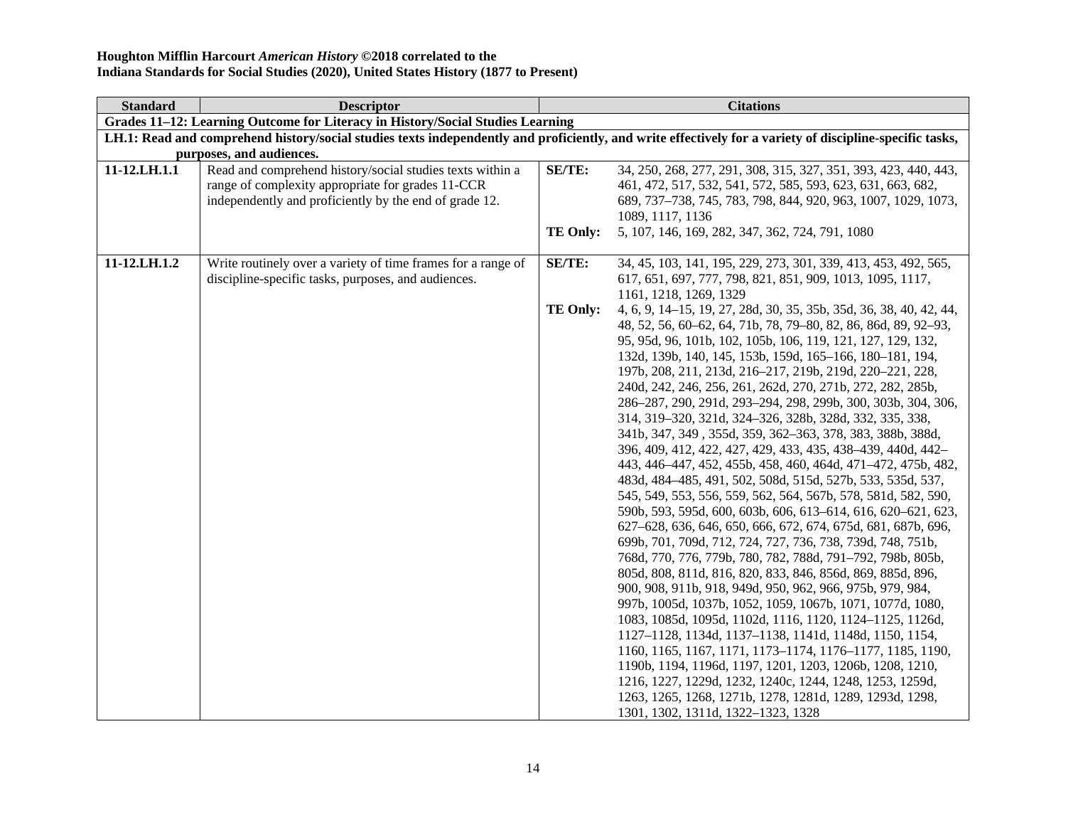| <b>Standard</b> | <b>Descriptor</b>                                                              | <b>Citations</b> |                                                                                                                                                          |
|-----------------|--------------------------------------------------------------------------------|------------------|----------------------------------------------------------------------------------------------------------------------------------------------------------|
|                 | Grades 11-12: Learning Outcome for Literacy in History/Social Studies Learning |                  |                                                                                                                                                          |
|                 |                                                                                |                  | LH.1: Read and comprehend history/social studies texts independently and proficiently, and write effectively for a variety of discipline-specific tasks, |
|                 | purposes, and audiences.                                                       |                  |                                                                                                                                                          |
| 11-12.LH.1.1    | Read and comprehend history/social studies texts within a                      | SE/TE:           | 34, 250, 268, 277, 291, 308, 315, 327, 351, 393, 423, 440, 443,                                                                                          |
|                 | range of complexity appropriate for grades 11-CCR                              |                  | 461, 472, 517, 532, 541, 572, 585, 593, 623, 631, 663, 682,                                                                                              |
|                 | independently and proficiently by the end of grade 12.                         |                  | 689, 737-738, 745, 783, 798, 844, 920, 963, 1007, 1029, 1073,                                                                                            |
|                 |                                                                                |                  | 1089, 1117, 1136                                                                                                                                         |
|                 |                                                                                | <b>TE Only:</b>  | 5, 107, 146, 169, 282, 347, 362, 724, 791, 1080                                                                                                          |
|                 |                                                                                |                  |                                                                                                                                                          |
| 11-12.LH.1.2    | Write routinely over a variety of time frames for a range of                   | SE/TE:           | 34, 45, 103, 141, 195, 229, 273, 301, 339, 413, 453, 492, 565,                                                                                           |
|                 | discipline-specific tasks, purposes, and audiences.                            |                  | 617, 651, 697, 777, 798, 821, 851, 909, 1013, 1095, 1117,                                                                                                |
|                 |                                                                                |                  | 1161, 1218, 1269, 1329                                                                                                                                   |
|                 |                                                                                | <b>TE Only:</b>  | 4, 6, 9, 14–15, 19, 27, 28d, 30, 35, 35b, 35d, 36, 38, 40, 42, 44,                                                                                       |
|                 |                                                                                |                  | 48, 52, 56, 60–62, 64, 71b, 78, 79–80, 82, 86, 86d, 89, 92–93,                                                                                           |
|                 |                                                                                |                  | 95, 95d, 96, 101b, 102, 105b, 106, 119, 121, 127, 129, 132,                                                                                              |
|                 |                                                                                |                  | 132d, 139b, 140, 145, 153b, 159d, 165-166, 180-181, 194,                                                                                                 |
|                 |                                                                                |                  | 197b, 208, 211, 213d, 216-217, 219b, 219d, 220-221, 228,                                                                                                 |
|                 |                                                                                |                  | 240d, 242, 246, 256, 261, 262d, 270, 271b, 272, 282, 285b,                                                                                               |
|                 |                                                                                |                  | 286-287, 290, 291d, 293-294, 298, 299b, 300, 303b, 304, 306,                                                                                             |
|                 |                                                                                |                  | 314, 319-320, 321d, 324-326, 328b, 328d, 332, 335, 338,                                                                                                  |
|                 |                                                                                |                  | 341b, 347, 349, 355d, 359, 362-363, 378, 383, 388b, 388d,                                                                                                |
|                 |                                                                                |                  | 396, 409, 412, 422, 427, 429, 433, 435, 438–439, 440d, 442–                                                                                              |
|                 |                                                                                |                  | 443, 446–447, 452, 455b, 458, 460, 464d, 471–472, 475b, 482,                                                                                             |
|                 |                                                                                |                  | 483d, 484–485, 491, 502, 508d, 515d, 527b, 533, 535d, 537,<br>545, 549, 553, 556, 559, 562, 564, 567b, 578, 581d, 582, 590,                              |
|                 |                                                                                |                  | 590b, 593, 595d, 600, 603b, 606, 613-614, 616, 620-621, 623,                                                                                             |
|                 |                                                                                |                  | 627-628, 636, 646, 650, 666, 672, 674, 675d, 681, 687b, 696,                                                                                             |
|                 |                                                                                |                  | 699b, 701, 709d, 712, 724, 727, 736, 738, 739d, 748, 751b,                                                                                               |
|                 |                                                                                |                  | 768d, 770, 776, 779b, 780, 782, 788d, 791-792, 798b, 805b,                                                                                               |
|                 |                                                                                |                  | 805d, 808, 811d, 816, 820, 833, 846, 856d, 869, 885d, 896,                                                                                               |
|                 |                                                                                |                  | 900, 908, 911b, 918, 949d, 950, 962, 966, 975b, 979, 984,                                                                                                |
|                 |                                                                                |                  | 997b, 1005d, 1037b, 1052, 1059, 1067b, 1071, 1077d, 1080,                                                                                                |
|                 |                                                                                |                  | 1083, 1085d, 1095d, 1102d, 1116, 1120, 1124-1125, 1126d,                                                                                                 |
|                 |                                                                                |                  | 1127-1128, 1134d, 1137-1138, 1141d, 1148d, 1150, 1154,                                                                                                   |
|                 |                                                                                |                  | 1160, 1165, 1167, 1171, 1173-1174, 1176-1177, 1185, 1190,                                                                                                |
|                 |                                                                                |                  | 1190b, 1194, 1196d, 1197, 1201, 1203, 1206b, 1208, 1210,                                                                                                 |
|                 |                                                                                |                  | 1216, 1227, 1229d, 1232, 1240c, 1244, 1248, 1253, 1259d,                                                                                                 |
|                 |                                                                                |                  | 1263, 1265, 1268, 1271b, 1278, 1281d, 1289, 1293d, 1298,                                                                                                 |
|                 |                                                                                |                  | 1301, 1302, 1311d, 1322-1323, 1328                                                                                                                       |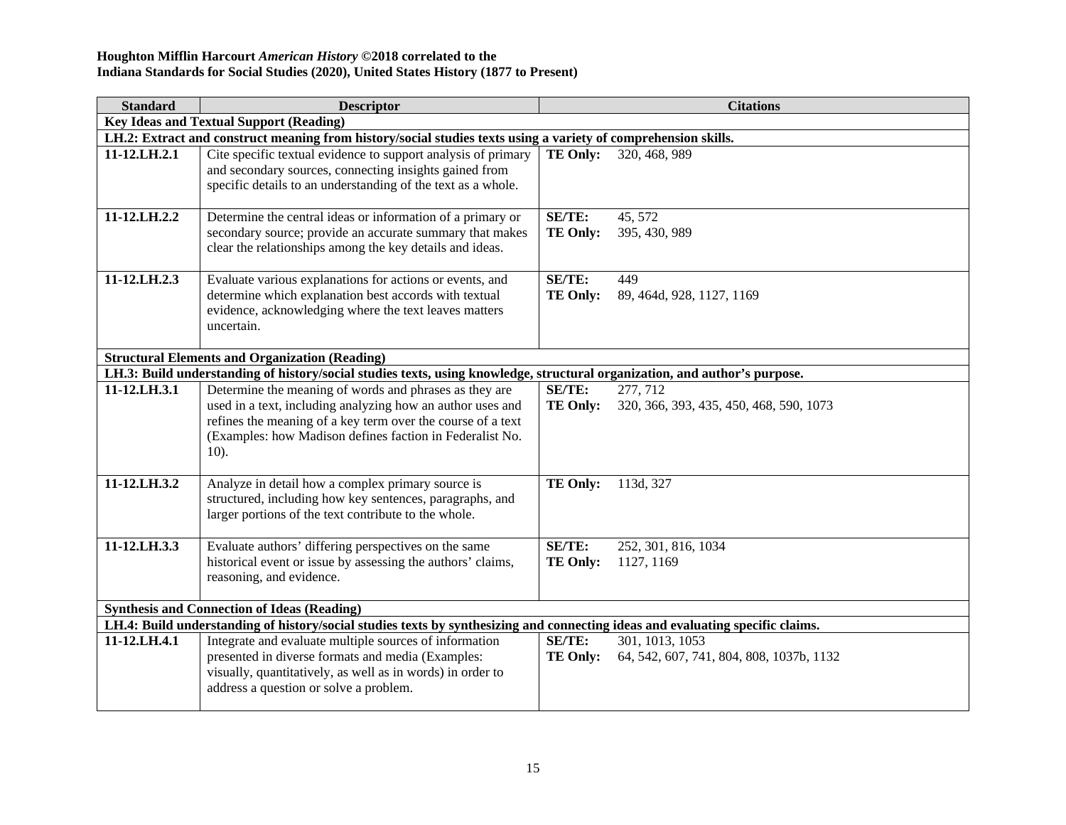| <b>Standard</b>                                       | <b>Descriptor</b>                                                                                                                                                                                                                                          | <b>Citations</b>                 |                                                             |
|-------------------------------------------------------|------------------------------------------------------------------------------------------------------------------------------------------------------------------------------------------------------------------------------------------------------------|----------------------------------|-------------------------------------------------------------|
| <b>Key Ideas and Textual Support (Reading)</b>        |                                                                                                                                                                                                                                                            |                                  |                                                             |
|                                                       | LH.2: Extract and construct meaning from history/social studies texts using a variety of comprehension skills.                                                                                                                                             |                                  |                                                             |
| 11-12.LH.2.1                                          | Cite specific textual evidence to support analysis of primary<br>and secondary sources, connecting insights gained from<br>specific details to an understanding of the text as a whole.                                                                    | <b>TE Only:</b>                  | 320, 468, 989                                               |
| 11-12.LH.2.2                                          | Determine the central ideas or information of a primary or<br>secondary source; provide an accurate summary that makes<br>clear the relationships among the key details and ideas.                                                                         | SE/TE:<br><b>TE Only:</b>        | 45, 572<br>395, 430, 989                                    |
| 11-12.LH.2.3                                          | Evaluate various explanations for actions or events, and<br>determine which explanation best accords with textual<br>evidence, acknowledging where the text leaves matters<br>uncertain.                                                                   | SE/TE:<br><b>TE Only:</b>        | 449<br>89, 464d, 928, 1127, 1169                            |
| <b>Structural Elements and Organization (Reading)</b> |                                                                                                                                                                                                                                                            |                                  |                                                             |
|                                                       | LH.3: Build understanding of history/social studies texts, using knowledge, structural organization, and author's purpose.                                                                                                                                 |                                  |                                                             |
| 11-12.LH.3.1                                          | Determine the meaning of words and phrases as they are<br>used in a text, including analyzing how an author uses and<br>refines the meaning of a key term over the course of a text<br>(Examples: how Madison defines faction in Federalist No.<br>$10$ ). | SE/TE:<br><b>TE Only:</b>        | 277, 712<br>320, 366, 393, 435, 450, 468, 590, 1073         |
| 11-12.LH.3.2                                          | Analyze in detail how a complex primary source is<br>structured, including how key sentences, paragraphs, and<br>larger portions of the text contribute to the whole.                                                                                      | <b>TE Only:</b>                  | 113d, 327                                                   |
| 11-12.LH.3.3                                          | Evaluate authors' differing perspectives on the same<br>historical event or issue by assessing the authors' claims,<br>reasoning, and evidence.                                                                                                            | SE/TE:<br><b>TE Only:</b>        | 252, 301, 816, 1034<br>1127, 1169                           |
| <b>Synthesis and Connection of Ideas (Reading)</b>    |                                                                                                                                                                                                                                                            |                                  |                                                             |
|                                                       | LH.4: Build understanding of history/social studies texts by synthesizing and connecting ideas and evaluating specific claims.                                                                                                                             |                                  |                                                             |
| 11-12.LH.4.1                                          | Integrate and evaluate multiple sources of information<br>presented in diverse formats and media (Examples:<br>visually, quantitatively, as well as in words) in order to<br>address a question or solve a problem.                                        | <b>SE/TE:</b><br><b>TE Only:</b> | 301, 1013, 1053<br>64, 542, 607, 741, 804, 808, 1037b, 1132 |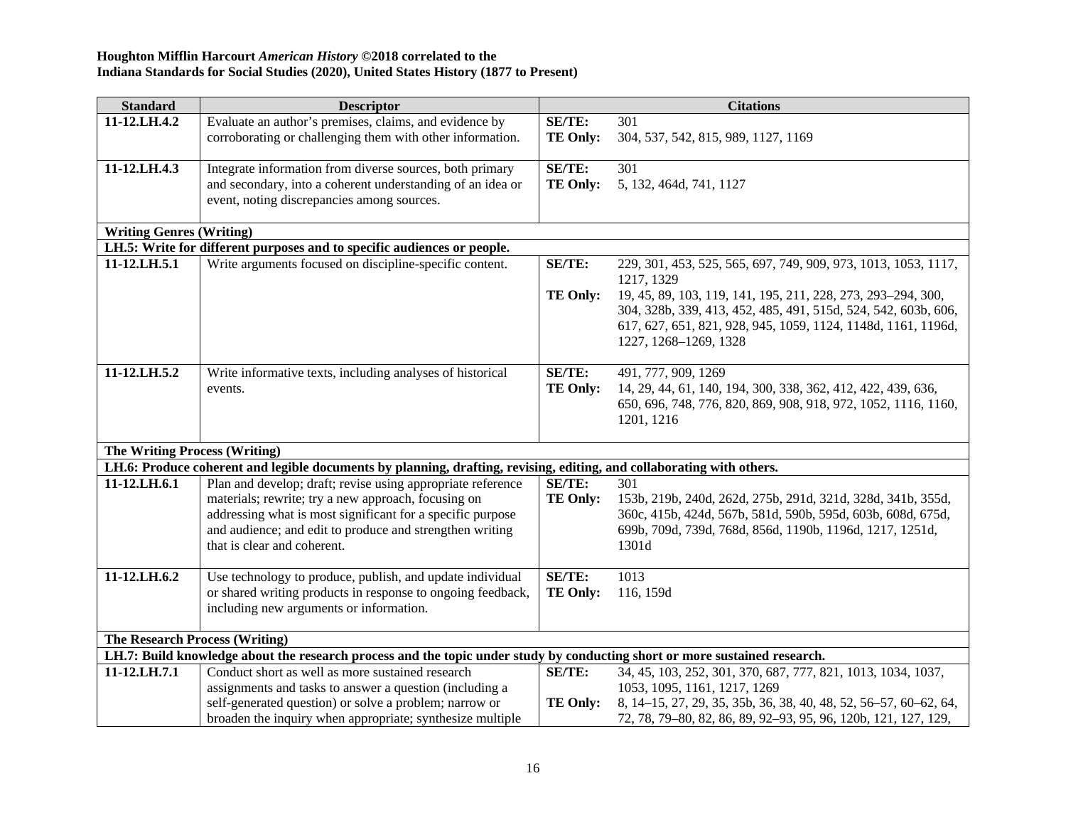| <b>Standard</b>                                                                                                            | <b>Descriptor</b>                                                                                                     |                 | <b>Citations</b>                                                             |
|----------------------------------------------------------------------------------------------------------------------------|-----------------------------------------------------------------------------------------------------------------------|-----------------|------------------------------------------------------------------------------|
| 11-12.LH.4.2                                                                                                               | Evaluate an author's premises, claims, and evidence by                                                                | SE/TE:          | 301                                                                          |
|                                                                                                                            | corroborating or challenging them with other information.                                                             | <b>TE Only:</b> | 304, 537, 542, 815, 989, 1127, 1169                                          |
|                                                                                                                            |                                                                                                                       |                 |                                                                              |
| 11-12.LH.4.3                                                                                                               | Integrate information from diverse sources, both primary                                                              | <b>SE/TE:</b>   | 301                                                                          |
|                                                                                                                            | and secondary, into a coherent understanding of an idea or                                                            | <b>TE Only:</b> | 5, 132, 464d, 741, 1127                                                      |
|                                                                                                                            | event, noting discrepancies among sources.                                                                            |                 |                                                                              |
| <b>Writing Genres (Writing)</b>                                                                                            |                                                                                                                       |                 |                                                                              |
|                                                                                                                            | LH.5: Write for different purposes and to specific audiences or people.                                               |                 |                                                                              |
| 11-12.LH.5.1                                                                                                               | Write arguments focused on discipline-specific content.                                                               | <b>SE/TE:</b>   | 229, 301, 453, 525, 565, 697, 749, 909, 973, 1013, 1053, 1117,<br>1217, 1329 |
|                                                                                                                            |                                                                                                                       | <b>TE Only:</b> | 19, 45, 89, 103, 119, 141, 195, 211, 228, 273, 293-294, 300,                 |
|                                                                                                                            |                                                                                                                       |                 | 304, 328b, 339, 413, 452, 485, 491, 515d, 524, 542, 603b, 606,               |
|                                                                                                                            |                                                                                                                       |                 | 617, 627, 651, 821, 928, 945, 1059, 1124, 1148d, 1161, 1196d,                |
|                                                                                                                            |                                                                                                                       |                 | 1227, 1268-1269, 1328                                                        |
|                                                                                                                            |                                                                                                                       |                 |                                                                              |
| 11-12.LH.5.2                                                                                                               | Write informative texts, including analyses of historical                                                             | <b>SE/TE:</b>   | 491, 777, 909, 1269                                                          |
|                                                                                                                            | events.                                                                                                               | <b>TE Only:</b> | 14, 29, 44, 61, 140, 194, 300, 338, 362, 412, 422, 439, 636,                 |
|                                                                                                                            |                                                                                                                       |                 | 650, 696, 748, 776, 820, 869, 908, 918, 972, 1052, 1116, 1160,<br>1201, 1216 |
|                                                                                                                            |                                                                                                                       |                 |                                                                              |
| <b>The Writing Process (Writing)</b>                                                                                       |                                                                                                                       |                 |                                                                              |
|                                                                                                                            | LH.6: Produce coherent and legible documents by planning, drafting, revising, editing, and collaborating with others. |                 |                                                                              |
| 11-12.LH.6.1                                                                                                               | Plan and develop; draft; revise using appropriate reference                                                           | <b>SE/TE:</b>   | 301                                                                          |
|                                                                                                                            | materials; rewrite; try a new approach, focusing on                                                                   | <b>TE Only:</b> | 153b, 219b, 240d, 262d, 275b, 291d, 321d, 328d, 341b, 355d,                  |
|                                                                                                                            | addressing what is most significant for a specific purpose                                                            |                 | 360c, 415b, 424d, 567b, 581d, 590b, 595d, 603b, 608d, 675d,                  |
|                                                                                                                            | and audience; and edit to produce and strengthen writing                                                              |                 | 699b, 709d, 739d, 768d, 856d, 1190b, 1196d, 1217, 1251d,                     |
|                                                                                                                            | that is clear and coherent.                                                                                           |                 | 1301d                                                                        |
|                                                                                                                            |                                                                                                                       |                 |                                                                              |
| 11-12.LH.6.2                                                                                                               | Use technology to produce, publish, and update individual                                                             | <b>SE/TE:</b>   | 1013                                                                         |
|                                                                                                                            | or shared writing products in response to ongoing feedback,                                                           | <b>TE Only:</b> | 116, 159d                                                                    |
|                                                                                                                            | including new arguments or information.                                                                               |                 |                                                                              |
| <b>The Research Process (Writing)</b>                                                                                      |                                                                                                                       |                 |                                                                              |
| LH.7: Build knowledge about the research process and the topic under study by conducting short or more sustained research. |                                                                                                                       |                 |                                                                              |
| 11-12.LH.7.1                                                                                                               | Conduct short as well as more sustained research                                                                      | SE/TE:          | 34, 45, 103, 252, 301, 370, 687, 777, 821, 1013, 1034, 1037,                 |
|                                                                                                                            | assignments and tasks to answer a question (including a                                                               |                 | 1053, 1095, 1161, 1217, 1269                                                 |
|                                                                                                                            | self-generated question) or solve a problem; narrow or                                                                | <b>TE Only:</b> | 8, 14-15, 27, 29, 35, 35b, 36, 38, 40, 48, 52, 56-57, 60-62, 64,             |
|                                                                                                                            | broaden the inquiry when appropriate; synthesize multiple                                                             |                 | 72, 78, 79-80, 82, 86, 89, 92-93, 95, 96, 120b, 121, 127, 129,               |